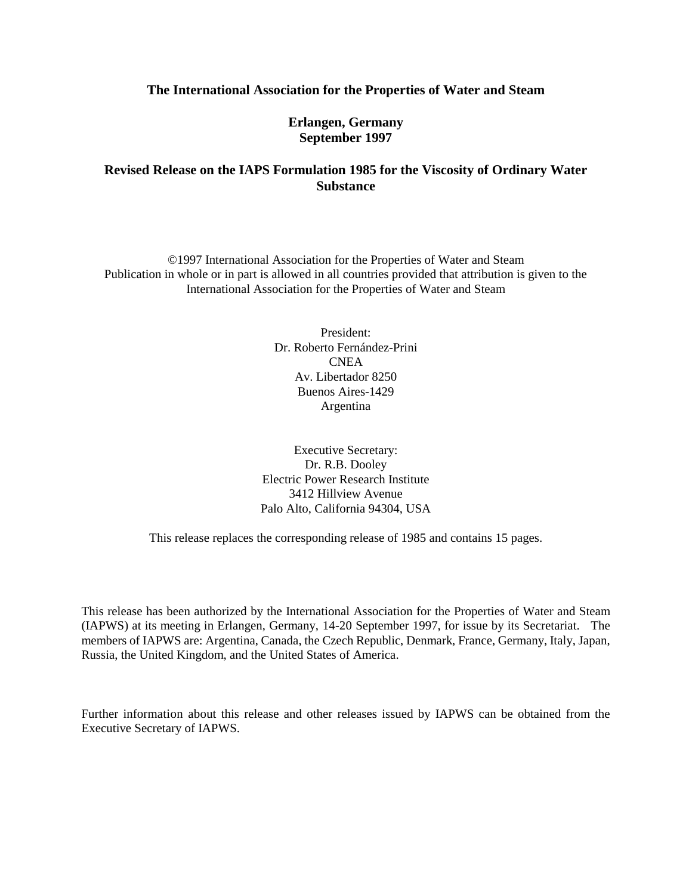## **The International Association for the Properties of Water and Steam**

**Erlangen, Germany September 1997**

# **Revised Release on the IAPS Formulation 1985 for the Viscosity of Ordinary Water Substance**

©1997 International Association for the Properties of Water and Steam Publication in whole or in part is allowed in all countries provided that attribution is given to the International Association for the Properties of Water and Steam

> President: Dr. Roberto Fernández-Prini CNEA Av. Libertador 8250 Buenos Aires-1429 Argentina

Executive Secretary: Dr. R.B. Dooley Electric Power Research Institute 3412 Hillview Avenue Palo Alto, California 94304, USA

This release replaces the corresponding release of 1985 and contains 15 pages.

This release has been authorized by the International Association for the Properties of Water and Steam (IAPWS) at its meeting in Erlangen, Germany, 14-20 September 1997, for issue by its Secretariat. The members of IAPWS are: Argentina, Canada, the Czech Republic, Denmark, France, Germany, Italy, Japan, Russia, the United Kingdom, and the United States of America.

Further information about this release and other releases issued by IAPWS can be obtained from the Executive Secretary of IAPWS.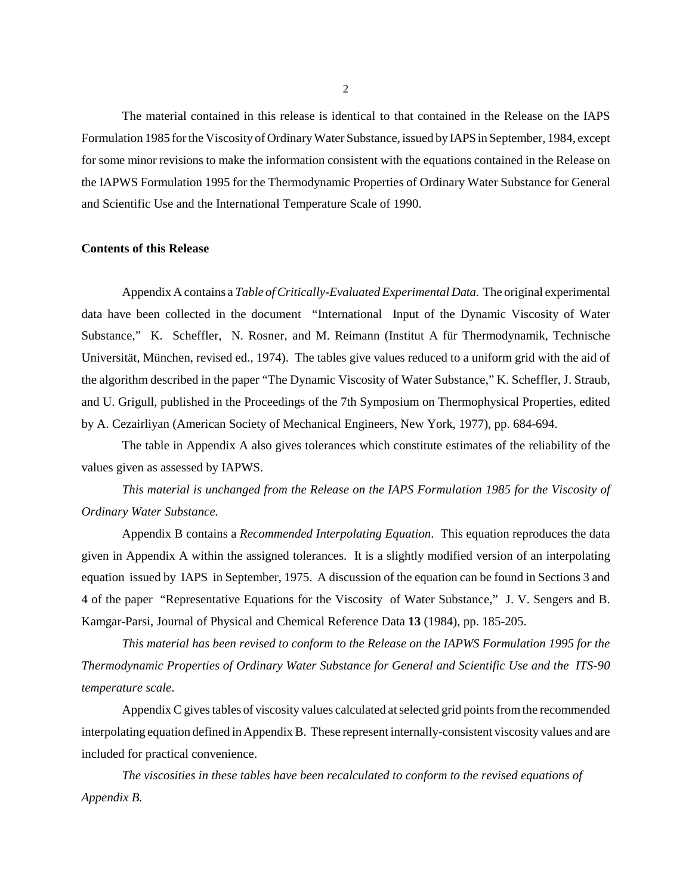The material contained in this release is identical to that contained in the Release on the IAPS Formulation 1985 for the Viscosity of Ordinary Water Substance, issued by IAPS in September, 1984, except for some minor revisions to make the information consistent with the equations contained in the Release on the IAPWS Formulation 1995 for the Thermodynamic Properties of Ordinary Water Substance for General and Scientific Use and the International Temperature Scale of 1990.

## **Contents of this Release**

Appendix A contains a *Table of Critically-Evaluated Experimental Data*. The original experimental data have been collected in the document "International Input of the Dynamic Viscosity of Water Substance," K. Scheffler, N. Rosner, and M. Reimann (Institut A für Thermodynamik, Technische Universität, München, revised ed., 1974). The tables give values reduced to a uniform grid with the aid of the algorithm described in the paper "The Dynamic Viscosity of Water Substance," K. Scheffler, J. Straub, and U. Grigull, published in the Proceedings of the 7th Symposium on Thermophysical Properties, edited by A. Cezairliyan (American Society of Mechanical Engineers, New York, 1977), pp. 684-694.

The table in Appendix A also gives tolerances which constitute estimates of the reliability of the values given as assessed by IAPWS.

*This material is unchanged from the Release on the IAPS Formulation 1985 for the Viscosity of Ordinary Water Substance.*

Appendix B contains a *Recommended Interpolating Equation*. This equation reproduces the data given in Appendix A within the assigned tolerances. It is a slightly modified version of an interpolating equation issued by IAPS in September, 1975. A discussion of the equation can be found in Sections 3 and 4 of the paper "Representative Equations for the Viscosity of Water Substance," J. V. Sengers and B. Kamgar-Parsi, Journal of Physical and Chemical Reference Data **13** (1984), pp. 185-205.

*This material has been revised to conform to the Release on the IAPWS Formulation 1995 for the Thermodynamic Properties of Ordinary Water Substance for General and Scientific Use and the ITS-90 temperature scale*.

Appendix C gives tables of viscosity values calculated at selected grid points from the recommended interpolating equation defined in Appendix B. These represent internally-consistent viscosity values and are included for practical convenience.

*The viscosities in these tables have been recalculated to conform to the revised equations of Appendix B.*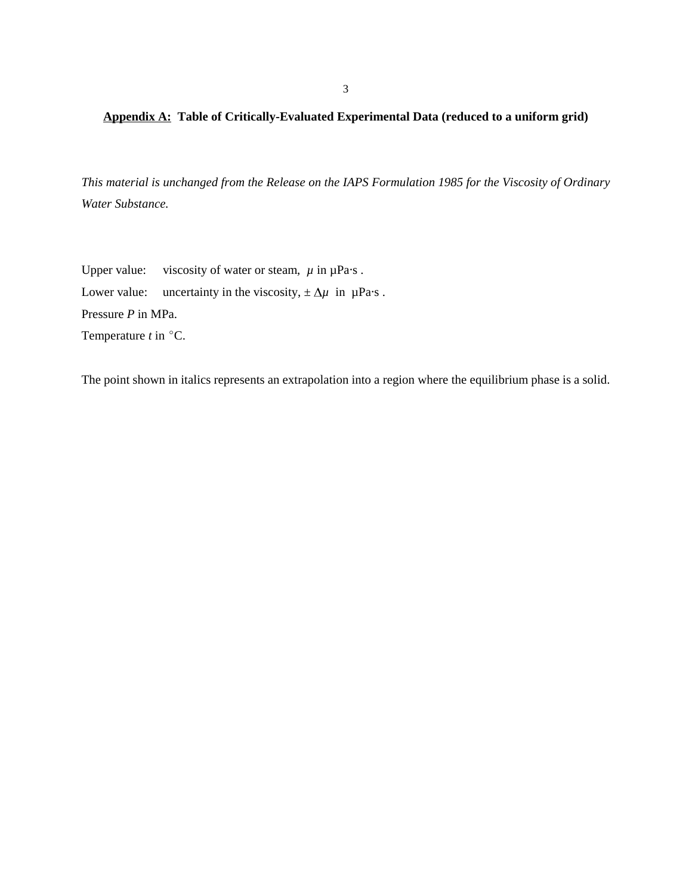3

# **Appendix A: Table of Critically-Evaluated Experimental Data (reduced to a uniform grid)**

*This material is unchanged from the Release on the IAPS Formulation 1985 for the Viscosity of Ordinary Water Substance.*

Upper value: viscosity of water or steam,  $\mu$  in  $\mu$ Pa·s. Lower value: uncertainty in the viscosity,  $\pm \Delta \mu$  in  $\mu$ Pa·s. Pressure *P* in MPa. Temperature  $t$  in  $^{\circ}$ C.

The point shown in italics represents an extrapolation into a region where the equilibrium phase is a solid.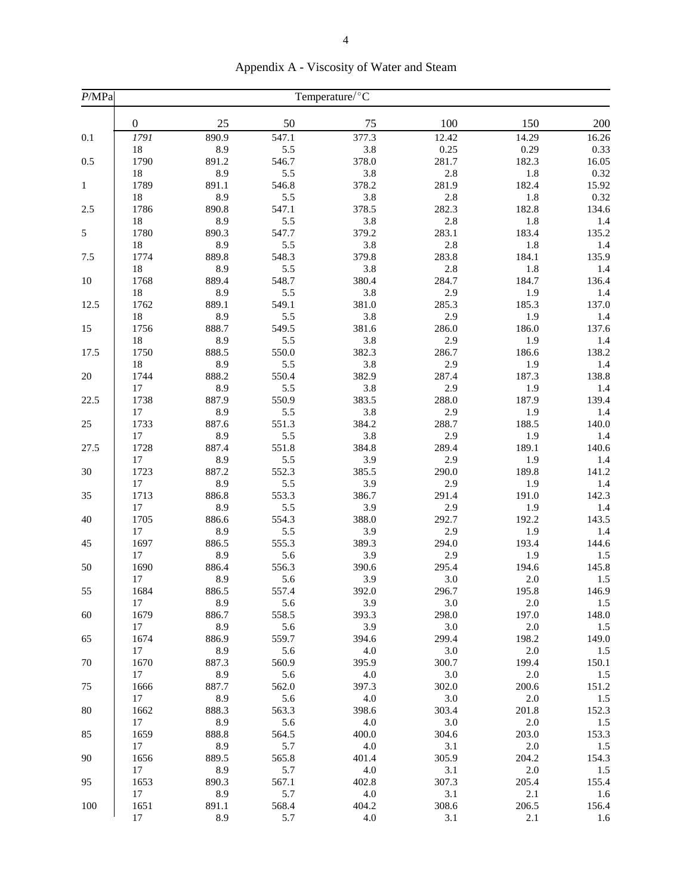| 200<br>$\boldsymbol{0}$<br>25<br>50<br>75<br>100<br>150<br>890.9<br>377.3<br>12.42<br>16.26<br>0.1<br>1791<br>547.1<br>14.29<br>8.9<br>5.5<br>3.8<br>0.25<br>0.29<br>0.33<br>18<br>546.7<br>378.0<br>0.5<br>1790<br>891.2<br>281.7<br>182.3<br>16.05<br>18<br>8.9<br>5.5<br>3.8<br>2.8<br>$1.8\,$<br>0.32<br>546.8<br>378.2<br>281.9<br>182.4<br>15.92<br>1789<br>891.1<br>$\mathbf{1}$<br>8.9<br>5.5<br>3.8<br>2.8<br>1.8<br>0.32<br>18<br>378.5<br>2.5<br>1786<br>890.8<br>547.1<br>282.3<br>182.8<br>134.6<br>18<br>8.9<br>5.5<br>3.8<br>2.8<br>1.8<br>1.4<br>5<br>283.1<br>135.2<br>1780<br>890.3<br>547.7<br>379.2<br>183.4<br>18<br>8.9<br>5.5<br>3.8<br>2.8<br>1.8<br>1.4<br>7.5<br>889.8<br>548.3<br>379.8<br>283.8<br>184.1<br>135.9<br>1774<br>18<br>8.9<br>5.5<br>3.8<br>2.8<br>1.8<br>1.4<br>889.4<br>284.7<br>184.7<br>10<br>1768<br>548.7<br>380.4<br>136.4<br>8.9<br>5.5<br>3.8<br>2.9<br>1.9<br>18<br>1.4<br>137.0<br>12.5<br>889.1<br>549.1<br>381.0<br>285.3<br>185.3<br>1762<br>18<br>8.9<br>5.5<br>3.8<br>2.9<br>1.9<br>1.4<br>888.7<br>15<br>1756<br>549.5<br>381.6<br>286.0<br>186.0<br>137.6<br>8.9<br>3.8<br>18<br>5.5<br>2.9<br>1.9<br>1.4<br>138.2<br>17.5<br>888.5<br>550.0<br>382.3<br>286.7<br>186.6<br>1750<br>3.8<br>18<br>8.9<br>5.5<br>2.9<br>1.9<br>1.4<br>888.2<br>382.9<br>187.3<br>138.8<br>$20\,$<br>1744<br>550.4<br>287.4<br>2.9<br>8.9<br>5.5<br>3.8<br>1.9<br>17<br>1.4<br>22.5<br>887.9<br>550.9<br>383.5<br>288.0<br>187.9<br>139.4<br>1738<br>8.9<br>5.5<br>3.8<br>2.9<br>1.9<br>1.4<br>17<br>25<br>288.7<br>1733<br>887.6<br>551.3<br>384.2<br>188.5<br>140.0<br>17<br>8.9<br>5.5<br>3.8<br>2.9<br>1.9<br>1.4<br>27.5<br>1728<br>887.4<br>551.8<br>384.8<br>289.4<br>189.1<br>140.6<br>8.9<br>5.5<br>3.9<br>2.9<br>1.9<br>17<br>1.4<br>552.3<br>189.8<br>30<br>1723<br>887.2<br>385.5<br>290.0<br>141.2<br>8.9<br>5.5<br>3.9<br>2.9<br>1.9<br>1.4<br>17<br>35<br>1713<br>886.8<br>553.3<br>386.7<br>291.4<br>191.0<br>142.3<br>8.9<br>5.5<br>3.9<br>2.9<br>1.9<br>1.4<br>17<br>292.7<br>40<br>1705<br>886.6<br>554.3<br>388.0<br>192.2<br>143.5<br>17<br>8.9<br>5.5<br>3.9<br>2.9<br>1.9<br>1.4<br>45<br>886.5<br>555.3<br>389.3<br>294.0<br>193.4<br>144.6<br>1697<br>17<br>8.9<br>5.6<br>3.9<br>2.9<br>1.9<br>1.5<br>194.6<br>50<br>1690<br>886.4<br>556.3<br>390.6<br>295.4<br>145.8<br>17<br>8.9<br>5.6<br>3.9<br>3.0<br>$2.0\,$<br>1.5<br>1684<br>886.5<br>557.4<br>392.0<br>296.7<br>195.8<br>146.9<br>55<br>3.0<br>8.9<br>3.9<br>5.6<br>2.0<br>1.5<br>17<br>1679<br>886.7<br>558.5<br>393.3<br>298.0<br>197.0<br>148.0<br>60<br>17<br>8.9<br>5.6<br>3.9<br>3.0<br>2.0<br>1.5<br>886.9<br>559.7<br>394.6<br>299.4<br>198.2<br>149.0<br>65<br>1674<br>17<br>8.9<br>5.6<br>4.0<br>3.0<br>2.0<br>1.5<br>395.9<br>$70\,$<br>1670<br>887.3<br>560.9<br>300.7<br>199.4<br>150.1<br>8.9<br>5.6<br>4.0<br>3.0<br>2.0<br>17<br>1.5<br>887.7<br>75<br>562.0<br>397.3<br>302.0<br>151.2<br>1666<br>200.6<br>8.9<br>5.6<br>4.0<br>3.0<br>17<br>2.0<br>1.5<br>1662<br>888.3<br>563.3<br>398.6<br>201.8<br>80<br>303.4<br>152.3<br>17<br>8.9<br>5.6<br>4.0<br>3.0<br>2.0<br>1.5<br>85<br>1659<br>888.8<br>564.5<br>400.0<br>304.6<br>203.0<br>153.3<br>8.9<br>5.7<br>4.0<br>3.1<br>2.0<br>17<br>1.5<br>90<br>1656<br>889.5<br>565.8<br>305.9<br>204.2<br>154.3<br>401.4<br>17<br>8.9<br>5.7<br>4.0<br>3.1<br>2.0<br>1.5<br>95<br>1653<br>890.3<br>567.1<br>307.3<br>205.4<br>155.4<br>402.8<br>8.9<br>5.7<br>3.1<br>2.1<br>17<br>4.0<br>1.6<br>100<br>1651<br>568.4<br>308.6<br>206.5<br>891.1<br>404.2<br>156.4<br>17<br>8.9<br>5.7<br>4.0<br>3.1<br>2.1<br>1.6 | P/MPa | Temperature/°C |  |  |  |  |  |  |  |  |  |
|--------------------------------------------------------------------------------------------------------------------------------------------------------------------------------------------------------------------------------------------------------------------------------------------------------------------------------------------------------------------------------------------------------------------------------------------------------------------------------------------------------------------------------------------------------------------------------------------------------------------------------------------------------------------------------------------------------------------------------------------------------------------------------------------------------------------------------------------------------------------------------------------------------------------------------------------------------------------------------------------------------------------------------------------------------------------------------------------------------------------------------------------------------------------------------------------------------------------------------------------------------------------------------------------------------------------------------------------------------------------------------------------------------------------------------------------------------------------------------------------------------------------------------------------------------------------------------------------------------------------------------------------------------------------------------------------------------------------------------------------------------------------------------------------------------------------------------------------------------------------------------------------------------------------------------------------------------------------------------------------------------------------------------------------------------------------------------------------------------------------------------------------------------------------------------------------------------------------------------------------------------------------------------------------------------------------------------------------------------------------------------------------------------------------------------------------------------------------------------------------------------------------------------------------------------------------------------------------------------------------------------------------------------------------------------------------------------------------------------------------------------------------------------------------------------------------------------------------------------------------------------------------------------------------------------------------------------------------------------------------------------------------------------------------------------------------------------------------------------------------------------------------------------------------------------------------------------------------------------------------------------------------------------------------------------------------------------------------------------------------------------------------------------------------------------------------------------------------------------------------------------------------------------------------------------------------------------------------------------|-------|----------------|--|--|--|--|--|--|--|--|--|
|                                                                                                                                                                                                                                                                                                                                                                                                                                                                                                                                                                                                                                                                                                                                                                                                                                                                                                                                                                                                                                                                                                                                                                                                                                                                                                                                                                                                                                                                                                                                                                                                                                                                                                                                                                                                                                                                                                                                                                                                                                                                                                                                                                                                                                                                                                                                                                                                                                                                                                                                                                                                                                                                                                                                                                                                                                                                                                                                                                                                                                                                                                                                                                                                                                                                                                                                                                                                                                                                                                                                                                                                        |       |                |  |  |  |  |  |  |  |  |  |
|                                                                                                                                                                                                                                                                                                                                                                                                                                                                                                                                                                                                                                                                                                                                                                                                                                                                                                                                                                                                                                                                                                                                                                                                                                                                                                                                                                                                                                                                                                                                                                                                                                                                                                                                                                                                                                                                                                                                                                                                                                                                                                                                                                                                                                                                                                                                                                                                                                                                                                                                                                                                                                                                                                                                                                                                                                                                                                                                                                                                                                                                                                                                                                                                                                                                                                                                                                                                                                                                                                                                                                                                        |       |                |  |  |  |  |  |  |  |  |  |
|                                                                                                                                                                                                                                                                                                                                                                                                                                                                                                                                                                                                                                                                                                                                                                                                                                                                                                                                                                                                                                                                                                                                                                                                                                                                                                                                                                                                                                                                                                                                                                                                                                                                                                                                                                                                                                                                                                                                                                                                                                                                                                                                                                                                                                                                                                                                                                                                                                                                                                                                                                                                                                                                                                                                                                                                                                                                                                                                                                                                                                                                                                                                                                                                                                                                                                                                                                                                                                                                                                                                                                                                        |       |                |  |  |  |  |  |  |  |  |  |
|                                                                                                                                                                                                                                                                                                                                                                                                                                                                                                                                                                                                                                                                                                                                                                                                                                                                                                                                                                                                                                                                                                                                                                                                                                                                                                                                                                                                                                                                                                                                                                                                                                                                                                                                                                                                                                                                                                                                                                                                                                                                                                                                                                                                                                                                                                                                                                                                                                                                                                                                                                                                                                                                                                                                                                                                                                                                                                                                                                                                                                                                                                                                                                                                                                                                                                                                                                                                                                                                                                                                                                                                        |       |                |  |  |  |  |  |  |  |  |  |
|                                                                                                                                                                                                                                                                                                                                                                                                                                                                                                                                                                                                                                                                                                                                                                                                                                                                                                                                                                                                                                                                                                                                                                                                                                                                                                                                                                                                                                                                                                                                                                                                                                                                                                                                                                                                                                                                                                                                                                                                                                                                                                                                                                                                                                                                                                                                                                                                                                                                                                                                                                                                                                                                                                                                                                                                                                                                                                                                                                                                                                                                                                                                                                                                                                                                                                                                                                                                                                                                                                                                                                                                        |       |                |  |  |  |  |  |  |  |  |  |
|                                                                                                                                                                                                                                                                                                                                                                                                                                                                                                                                                                                                                                                                                                                                                                                                                                                                                                                                                                                                                                                                                                                                                                                                                                                                                                                                                                                                                                                                                                                                                                                                                                                                                                                                                                                                                                                                                                                                                                                                                                                                                                                                                                                                                                                                                                                                                                                                                                                                                                                                                                                                                                                                                                                                                                                                                                                                                                                                                                                                                                                                                                                                                                                                                                                                                                                                                                                                                                                                                                                                                                                                        |       |                |  |  |  |  |  |  |  |  |  |
|                                                                                                                                                                                                                                                                                                                                                                                                                                                                                                                                                                                                                                                                                                                                                                                                                                                                                                                                                                                                                                                                                                                                                                                                                                                                                                                                                                                                                                                                                                                                                                                                                                                                                                                                                                                                                                                                                                                                                                                                                                                                                                                                                                                                                                                                                                                                                                                                                                                                                                                                                                                                                                                                                                                                                                                                                                                                                                                                                                                                                                                                                                                                                                                                                                                                                                                                                                                                                                                                                                                                                                                                        |       |                |  |  |  |  |  |  |  |  |  |
|                                                                                                                                                                                                                                                                                                                                                                                                                                                                                                                                                                                                                                                                                                                                                                                                                                                                                                                                                                                                                                                                                                                                                                                                                                                                                                                                                                                                                                                                                                                                                                                                                                                                                                                                                                                                                                                                                                                                                                                                                                                                                                                                                                                                                                                                                                                                                                                                                                                                                                                                                                                                                                                                                                                                                                                                                                                                                                                                                                                                                                                                                                                                                                                                                                                                                                                                                                                                                                                                                                                                                                                                        |       |                |  |  |  |  |  |  |  |  |  |
|                                                                                                                                                                                                                                                                                                                                                                                                                                                                                                                                                                                                                                                                                                                                                                                                                                                                                                                                                                                                                                                                                                                                                                                                                                                                                                                                                                                                                                                                                                                                                                                                                                                                                                                                                                                                                                                                                                                                                                                                                                                                                                                                                                                                                                                                                                                                                                                                                                                                                                                                                                                                                                                                                                                                                                                                                                                                                                                                                                                                                                                                                                                                                                                                                                                                                                                                                                                                                                                                                                                                                                                                        |       |                |  |  |  |  |  |  |  |  |  |
|                                                                                                                                                                                                                                                                                                                                                                                                                                                                                                                                                                                                                                                                                                                                                                                                                                                                                                                                                                                                                                                                                                                                                                                                                                                                                                                                                                                                                                                                                                                                                                                                                                                                                                                                                                                                                                                                                                                                                                                                                                                                                                                                                                                                                                                                                                                                                                                                                                                                                                                                                                                                                                                                                                                                                                                                                                                                                                                                                                                                                                                                                                                                                                                                                                                                                                                                                                                                                                                                                                                                                                                                        |       |                |  |  |  |  |  |  |  |  |  |
|                                                                                                                                                                                                                                                                                                                                                                                                                                                                                                                                                                                                                                                                                                                                                                                                                                                                                                                                                                                                                                                                                                                                                                                                                                                                                                                                                                                                                                                                                                                                                                                                                                                                                                                                                                                                                                                                                                                                                                                                                                                                                                                                                                                                                                                                                                                                                                                                                                                                                                                                                                                                                                                                                                                                                                                                                                                                                                                                                                                                                                                                                                                                                                                                                                                                                                                                                                                                                                                                                                                                                                                                        |       |                |  |  |  |  |  |  |  |  |  |
|                                                                                                                                                                                                                                                                                                                                                                                                                                                                                                                                                                                                                                                                                                                                                                                                                                                                                                                                                                                                                                                                                                                                                                                                                                                                                                                                                                                                                                                                                                                                                                                                                                                                                                                                                                                                                                                                                                                                                                                                                                                                                                                                                                                                                                                                                                                                                                                                                                                                                                                                                                                                                                                                                                                                                                                                                                                                                                                                                                                                                                                                                                                                                                                                                                                                                                                                                                                                                                                                                                                                                                                                        |       |                |  |  |  |  |  |  |  |  |  |
|                                                                                                                                                                                                                                                                                                                                                                                                                                                                                                                                                                                                                                                                                                                                                                                                                                                                                                                                                                                                                                                                                                                                                                                                                                                                                                                                                                                                                                                                                                                                                                                                                                                                                                                                                                                                                                                                                                                                                                                                                                                                                                                                                                                                                                                                                                                                                                                                                                                                                                                                                                                                                                                                                                                                                                                                                                                                                                                                                                                                                                                                                                                                                                                                                                                                                                                                                                                                                                                                                                                                                                                                        |       |                |  |  |  |  |  |  |  |  |  |
|                                                                                                                                                                                                                                                                                                                                                                                                                                                                                                                                                                                                                                                                                                                                                                                                                                                                                                                                                                                                                                                                                                                                                                                                                                                                                                                                                                                                                                                                                                                                                                                                                                                                                                                                                                                                                                                                                                                                                                                                                                                                                                                                                                                                                                                                                                                                                                                                                                                                                                                                                                                                                                                                                                                                                                                                                                                                                                                                                                                                                                                                                                                                                                                                                                                                                                                                                                                                                                                                                                                                                                                                        |       |                |  |  |  |  |  |  |  |  |  |
|                                                                                                                                                                                                                                                                                                                                                                                                                                                                                                                                                                                                                                                                                                                                                                                                                                                                                                                                                                                                                                                                                                                                                                                                                                                                                                                                                                                                                                                                                                                                                                                                                                                                                                                                                                                                                                                                                                                                                                                                                                                                                                                                                                                                                                                                                                                                                                                                                                                                                                                                                                                                                                                                                                                                                                                                                                                                                                                                                                                                                                                                                                                                                                                                                                                                                                                                                                                                                                                                                                                                                                                                        |       |                |  |  |  |  |  |  |  |  |  |
|                                                                                                                                                                                                                                                                                                                                                                                                                                                                                                                                                                                                                                                                                                                                                                                                                                                                                                                                                                                                                                                                                                                                                                                                                                                                                                                                                                                                                                                                                                                                                                                                                                                                                                                                                                                                                                                                                                                                                                                                                                                                                                                                                                                                                                                                                                                                                                                                                                                                                                                                                                                                                                                                                                                                                                                                                                                                                                                                                                                                                                                                                                                                                                                                                                                                                                                                                                                                                                                                                                                                                                                                        |       |                |  |  |  |  |  |  |  |  |  |
|                                                                                                                                                                                                                                                                                                                                                                                                                                                                                                                                                                                                                                                                                                                                                                                                                                                                                                                                                                                                                                                                                                                                                                                                                                                                                                                                                                                                                                                                                                                                                                                                                                                                                                                                                                                                                                                                                                                                                                                                                                                                                                                                                                                                                                                                                                                                                                                                                                                                                                                                                                                                                                                                                                                                                                                                                                                                                                                                                                                                                                                                                                                                                                                                                                                                                                                                                                                                                                                                                                                                                                                                        |       |                |  |  |  |  |  |  |  |  |  |
|                                                                                                                                                                                                                                                                                                                                                                                                                                                                                                                                                                                                                                                                                                                                                                                                                                                                                                                                                                                                                                                                                                                                                                                                                                                                                                                                                                                                                                                                                                                                                                                                                                                                                                                                                                                                                                                                                                                                                                                                                                                                                                                                                                                                                                                                                                                                                                                                                                                                                                                                                                                                                                                                                                                                                                                                                                                                                                                                                                                                                                                                                                                                                                                                                                                                                                                                                                                                                                                                                                                                                                                                        |       |                |  |  |  |  |  |  |  |  |  |
|                                                                                                                                                                                                                                                                                                                                                                                                                                                                                                                                                                                                                                                                                                                                                                                                                                                                                                                                                                                                                                                                                                                                                                                                                                                                                                                                                                                                                                                                                                                                                                                                                                                                                                                                                                                                                                                                                                                                                                                                                                                                                                                                                                                                                                                                                                                                                                                                                                                                                                                                                                                                                                                                                                                                                                                                                                                                                                                                                                                                                                                                                                                                                                                                                                                                                                                                                                                                                                                                                                                                                                                                        |       |                |  |  |  |  |  |  |  |  |  |
|                                                                                                                                                                                                                                                                                                                                                                                                                                                                                                                                                                                                                                                                                                                                                                                                                                                                                                                                                                                                                                                                                                                                                                                                                                                                                                                                                                                                                                                                                                                                                                                                                                                                                                                                                                                                                                                                                                                                                                                                                                                                                                                                                                                                                                                                                                                                                                                                                                                                                                                                                                                                                                                                                                                                                                                                                                                                                                                                                                                                                                                                                                                                                                                                                                                                                                                                                                                                                                                                                                                                                                                                        |       |                |  |  |  |  |  |  |  |  |  |
|                                                                                                                                                                                                                                                                                                                                                                                                                                                                                                                                                                                                                                                                                                                                                                                                                                                                                                                                                                                                                                                                                                                                                                                                                                                                                                                                                                                                                                                                                                                                                                                                                                                                                                                                                                                                                                                                                                                                                                                                                                                                                                                                                                                                                                                                                                                                                                                                                                                                                                                                                                                                                                                                                                                                                                                                                                                                                                                                                                                                                                                                                                                                                                                                                                                                                                                                                                                                                                                                                                                                                                                                        |       |                |  |  |  |  |  |  |  |  |  |
|                                                                                                                                                                                                                                                                                                                                                                                                                                                                                                                                                                                                                                                                                                                                                                                                                                                                                                                                                                                                                                                                                                                                                                                                                                                                                                                                                                                                                                                                                                                                                                                                                                                                                                                                                                                                                                                                                                                                                                                                                                                                                                                                                                                                                                                                                                                                                                                                                                                                                                                                                                                                                                                                                                                                                                                                                                                                                                                                                                                                                                                                                                                                                                                                                                                                                                                                                                                                                                                                                                                                                                                                        |       |                |  |  |  |  |  |  |  |  |  |
|                                                                                                                                                                                                                                                                                                                                                                                                                                                                                                                                                                                                                                                                                                                                                                                                                                                                                                                                                                                                                                                                                                                                                                                                                                                                                                                                                                                                                                                                                                                                                                                                                                                                                                                                                                                                                                                                                                                                                                                                                                                                                                                                                                                                                                                                                                                                                                                                                                                                                                                                                                                                                                                                                                                                                                                                                                                                                                                                                                                                                                                                                                                                                                                                                                                                                                                                                                                                                                                                                                                                                                                                        |       |                |  |  |  |  |  |  |  |  |  |
|                                                                                                                                                                                                                                                                                                                                                                                                                                                                                                                                                                                                                                                                                                                                                                                                                                                                                                                                                                                                                                                                                                                                                                                                                                                                                                                                                                                                                                                                                                                                                                                                                                                                                                                                                                                                                                                                                                                                                                                                                                                                                                                                                                                                                                                                                                                                                                                                                                                                                                                                                                                                                                                                                                                                                                                                                                                                                                                                                                                                                                                                                                                                                                                                                                                                                                                                                                                                                                                                                                                                                                                                        |       |                |  |  |  |  |  |  |  |  |  |
|                                                                                                                                                                                                                                                                                                                                                                                                                                                                                                                                                                                                                                                                                                                                                                                                                                                                                                                                                                                                                                                                                                                                                                                                                                                                                                                                                                                                                                                                                                                                                                                                                                                                                                                                                                                                                                                                                                                                                                                                                                                                                                                                                                                                                                                                                                                                                                                                                                                                                                                                                                                                                                                                                                                                                                                                                                                                                                                                                                                                                                                                                                                                                                                                                                                                                                                                                                                                                                                                                                                                                                                                        |       |                |  |  |  |  |  |  |  |  |  |
|                                                                                                                                                                                                                                                                                                                                                                                                                                                                                                                                                                                                                                                                                                                                                                                                                                                                                                                                                                                                                                                                                                                                                                                                                                                                                                                                                                                                                                                                                                                                                                                                                                                                                                                                                                                                                                                                                                                                                                                                                                                                                                                                                                                                                                                                                                                                                                                                                                                                                                                                                                                                                                                                                                                                                                                                                                                                                                                                                                                                                                                                                                                                                                                                                                                                                                                                                                                                                                                                                                                                                                                                        |       |                |  |  |  |  |  |  |  |  |  |
|                                                                                                                                                                                                                                                                                                                                                                                                                                                                                                                                                                                                                                                                                                                                                                                                                                                                                                                                                                                                                                                                                                                                                                                                                                                                                                                                                                                                                                                                                                                                                                                                                                                                                                                                                                                                                                                                                                                                                                                                                                                                                                                                                                                                                                                                                                                                                                                                                                                                                                                                                                                                                                                                                                                                                                                                                                                                                                                                                                                                                                                                                                                                                                                                                                                                                                                                                                                                                                                                                                                                                                                                        |       |                |  |  |  |  |  |  |  |  |  |
|                                                                                                                                                                                                                                                                                                                                                                                                                                                                                                                                                                                                                                                                                                                                                                                                                                                                                                                                                                                                                                                                                                                                                                                                                                                                                                                                                                                                                                                                                                                                                                                                                                                                                                                                                                                                                                                                                                                                                                                                                                                                                                                                                                                                                                                                                                                                                                                                                                                                                                                                                                                                                                                                                                                                                                                                                                                                                                                                                                                                                                                                                                                                                                                                                                                                                                                                                                                                                                                                                                                                                                                                        |       |                |  |  |  |  |  |  |  |  |  |
|                                                                                                                                                                                                                                                                                                                                                                                                                                                                                                                                                                                                                                                                                                                                                                                                                                                                                                                                                                                                                                                                                                                                                                                                                                                                                                                                                                                                                                                                                                                                                                                                                                                                                                                                                                                                                                                                                                                                                                                                                                                                                                                                                                                                                                                                                                                                                                                                                                                                                                                                                                                                                                                                                                                                                                                                                                                                                                                                                                                                                                                                                                                                                                                                                                                                                                                                                                                                                                                                                                                                                                                                        |       |                |  |  |  |  |  |  |  |  |  |
|                                                                                                                                                                                                                                                                                                                                                                                                                                                                                                                                                                                                                                                                                                                                                                                                                                                                                                                                                                                                                                                                                                                                                                                                                                                                                                                                                                                                                                                                                                                                                                                                                                                                                                                                                                                                                                                                                                                                                                                                                                                                                                                                                                                                                                                                                                                                                                                                                                                                                                                                                                                                                                                                                                                                                                                                                                                                                                                                                                                                                                                                                                                                                                                                                                                                                                                                                                                                                                                                                                                                                                                                        |       |                |  |  |  |  |  |  |  |  |  |
|                                                                                                                                                                                                                                                                                                                                                                                                                                                                                                                                                                                                                                                                                                                                                                                                                                                                                                                                                                                                                                                                                                                                                                                                                                                                                                                                                                                                                                                                                                                                                                                                                                                                                                                                                                                                                                                                                                                                                                                                                                                                                                                                                                                                                                                                                                                                                                                                                                                                                                                                                                                                                                                                                                                                                                                                                                                                                                                                                                                                                                                                                                                                                                                                                                                                                                                                                                                                                                                                                                                                                                                                        |       |                |  |  |  |  |  |  |  |  |  |
|                                                                                                                                                                                                                                                                                                                                                                                                                                                                                                                                                                                                                                                                                                                                                                                                                                                                                                                                                                                                                                                                                                                                                                                                                                                                                                                                                                                                                                                                                                                                                                                                                                                                                                                                                                                                                                                                                                                                                                                                                                                                                                                                                                                                                                                                                                                                                                                                                                                                                                                                                                                                                                                                                                                                                                                                                                                                                                                                                                                                                                                                                                                                                                                                                                                                                                                                                                                                                                                                                                                                                                                                        |       |                |  |  |  |  |  |  |  |  |  |
|                                                                                                                                                                                                                                                                                                                                                                                                                                                                                                                                                                                                                                                                                                                                                                                                                                                                                                                                                                                                                                                                                                                                                                                                                                                                                                                                                                                                                                                                                                                                                                                                                                                                                                                                                                                                                                                                                                                                                                                                                                                                                                                                                                                                                                                                                                                                                                                                                                                                                                                                                                                                                                                                                                                                                                                                                                                                                                                                                                                                                                                                                                                                                                                                                                                                                                                                                                                                                                                                                                                                                                                                        |       |                |  |  |  |  |  |  |  |  |  |
|                                                                                                                                                                                                                                                                                                                                                                                                                                                                                                                                                                                                                                                                                                                                                                                                                                                                                                                                                                                                                                                                                                                                                                                                                                                                                                                                                                                                                                                                                                                                                                                                                                                                                                                                                                                                                                                                                                                                                                                                                                                                                                                                                                                                                                                                                                                                                                                                                                                                                                                                                                                                                                                                                                                                                                                                                                                                                                                                                                                                                                                                                                                                                                                                                                                                                                                                                                                                                                                                                                                                                                                                        |       |                |  |  |  |  |  |  |  |  |  |
|                                                                                                                                                                                                                                                                                                                                                                                                                                                                                                                                                                                                                                                                                                                                                                                                                                                                                                                                                                                                                                                                                                                                                                                                                                                                                                                                                                                                                                                                                                                                                                                                                                                                                                                                                                                                                                                                                                                                                                                                                                                                                                                                                                                                                                                                                                                                                                                                                                                                                                                                                                                                                                                                                                                                                                                                                                                                                                                                                                                                                                                                                                                                                                                                                                                                                                                                                                                                                                                                                                                                                                                                        |       |                |  |  |  |  |  |  |  |  |  |
|                                                                                                                                                                                                                                                                                                                                                                                                                                                                                                                                                                                                                                                                                                                                                                                                                                                                                                                                                                                                                                                                                                                                                                                                                                                                                                                                                                                                                                                                                                                                                                                                                                                                                                                                                                                                                                                                                                                                                                                                                                                                                                                                                                                                                                                                                                                                                                                                                                                                                                                                                                                                                                                                                                                                                                                                                                                                                                                                                                                                                                                                                                                                                                                                                                                                                                                                                                                                                                                                                                                                                                                                        |       |                |  |  |  |  |  |  |  |  |  |
|                                                                                                                                                                                                                                                                                                                                                                                                                                                                                                                                                                                                                                                                                                                                                                                                                                                                                                                                                                                                                                                                                                                                                                                                                                                                                                                                                                                                                                                                                                                                                                                                                                                                                                                                                                                                                                                                                                                                                                                                                                                                                                                                                                                                                                                                                                                                                                                                                                                                                                                                                                                                                                                                                                                                                                                                                                                                                                                                                                                                                                                                                                                                                                                                                                                                                                                                                                                                                                                                                                                                                                                                        |       |                |  |  |  |  |  |  |  |  |  |
|                                                                                                                                                                                                                                                                                                                                                                                                                                                                                                                                                                                                                                                                                                                                                                                                                                                                                                                                                                                                                                                                                                                                                                                                                                                                                                                                                                                                                                                                                                                                                                                                                                                                                                                                                                                                                                                                                                                                                                                                                                                                                                                                                                                                                                                                                                                                                                                                                                                                                                                                                                                                                                                                                                                                                                                                                                                                                                                                                                                                                                                                                                                                                                                                                                                                                                                                                                                                                                                                                                                                                                                                        |       |                |  |  |  |  |  |  |  |  |  |
|                                                                                                                                                                                                                                                                                                                                                                                                                                                                                                                                                                                                                                                                                                                                                                                                                                                                                                                                                                                                                                                                                                                                                                                                                                                                                                                                                                                                                                                                                                                                                                                                                                                                                                                                                                                                                                                                                                                                                                                                                                                                                                                                                                                                                                                                                                                                                                                                                                                                                                                                                                                                                                                                                                                                                                                                                                                                                                                                                                                                                                                                                                                                                                                                                                                                                                                                                                                                                                                                                                                                                                                                        |       |                |  |  |  |  |  |  |  |  |  |
|                                                                                                                                                                                                                                                                                                                                                                                                                                                                                                                                                                                                                                                                                                                                                                                                                                                                                                                                                                                                                                                                                                                                                                                                                                                                                                                                                                                                                                                                                                                                                                                                                                                                                                                                                                                                                                                                                                                                                                                                                                                                                                                                                                                                                                                                                                                                                                                                                                                                                                                                                                                                                                                                                                                                                                                                                                                                                                                                                                                                                                                                                                                                                                                                                                                                                                                                                                                                                                                                                                                                                                                                        |       |                |  |  |  |  |  |  |  |  |  |
|                                                                                                                                                                                                                                                                                                                                                                                                                                                                                                                                                                                                                                                                                                                                                                                                                                                                                                                                                                                                                                                                                                                                                                                                                                                                                                                                                                                                                                                                                                                                                                                                                                                                                                                                                                                                                                                                                                                                                                                                                                                                                                                                                                                                                                                                                                                                                                                                                                                                                                                                                                                                                                                                                                                                                                                                                                                                                                                                                                                                                                                                                                                                                                                                                                                                                                                                                                                                                                                                                                                                                                                                        |       |                |  |  |  |  |  |  |  |  |  |
|                                                                                                                                                                                                                                                                                                                                                                                                                                                                                                                                                                                                                                                                                                                                                                                                                                                                                                                                                                                                                                                                                                                                                                                                                                                                                                                                                                                                                                                                                                                                                                                                                                                                                                                                                                                                                                                                                                                                                                                                                                                                                                                                                                                                                                                                                                                                                                                                                                                                                                                                                                                                                                                                                                                                                                                                                                                                                                                                                                                                                                                                                                                                                                                                                                                                                                                                                                                                                                                                                                                                                                                                        |       |                |  |  |  |  |  |  |  |  |  |
|                                                                                                                                                                                                                                                                                                                                                                                                                                                                                                                                                                                                                                                                                                                                                                                                                                                                                                                                                                                                                                                                                                                                                                                                                                                                                                                                                                                                                                                                                                                                                                                                                                                                                                                                                                                                                                                                                                                                                                                                                                                                                                                                                                                                                                                                                                                                                                                                                                                                                                                                                                                                                                                                                                                                                                                                                                                                                                                                                                                                                                                                                                                                                                                                                                                                                                                                                                                                                                                                                                                                                                                                        |       |                |  |  |  |  |  |  |  |  |  |
|                                                                                                                                                                                                                                                                                                                                                                                                                                                                                                                                                                                                                                                                                                                                                                                                                                                                                                                                                                                                                                                                                                                                                                                                                                                                                                                                                                                                                                                                                                                                                                                                                                                                                                                                                                                                                                                                                                                                                                                                                                                                                                                                                                                                                                                                                                                                                                                                                                                                                                                                                                                                                                                                                                                                                                                                                                                                                                                                                                                                                                                                                                                                                                                                                                                                                                                                                                                                                                                                                                                                                                                                        |       |                |  |  |  |  |  |  |  |  |  |
|                                                                                                                                                                                                                                                                                                                                                                                                                                                                                                                                                                                                                                                                                                                                                                                                                                                                                                                                                                                                                                                                                                                                                                                                                                                                                                                                                                                                                                                                                                                                                                                                                                                                                                                                                                                                                                                                                                                                                                                                                                                                                                                                                                                                                                                                                                                                                                                                                                                                                                                                                                                                                                                                                                                                                                                                                                                                                                                                                                                                                                                                                                                                                                                                                                                                                                                                                                                                                                                                                                                                                                                                        |       |                |  |  |  |  |  |  |  |  |  |
|                                                                                                                                                                                                                                                                                                                                                                                                                                                                                                                                                                                                                                                                                                                                                                                                                                                                                                                                                                                                                                                                                                                                                                                                                                                                                                                                                                                                                                                                                                                                                                                                                                                                                                                                                                                                                                                                                                                                                                                                                                                                                                                                                                                                                                                                                                                                                                                                                                                                                                                                                                                                                                                                                                                                                                                                                                                                                                                                                                                                                                                                                                                                                                                                                                                                                                                                                                                                                                                                                                                                                                                                        |       |                |  |  |  |  |  |  |  |  |  |
|                                                                                                                                                                                                                                                                                                                                                                                                                                                                                                                                                                                                                                                                                                                                                                                                                                                                                                                                                                                                                                                                                                                                                                                                                                                                                                                                                                                                                                                                                                                                                                                                                                                                                                                                                                                                                                                                                                                                                                                                                                                                                                                                                                                                                                                                                                                                                                                                                                                                                                                                                                                                                                                                                                                                                                                                                                                                                                                                                                                                                                                                                                                                                                                                                                                                                                                                                                                                                                                                                                                                                                                                        |       |                |  |  |  |  |  |  |  |  |  |
|                                                                                                                                                                                                                                                                                                                                                                                                                                                                                                                                                                                                                                                                                                                                                                                                                                                                                                                                                                                                                                                                                                                                                                                                                                                                                                                                                                                                                                                                                                                                                                                                                                                                                                                                                                                                                                                                                                                                                                                                                                                                                                                                                                                                                                                                                                                                                                                                                                                                                                                                                                                                                                                                                                                                                                                                                                                                                                                                                                                                                                                                                                                                                                                                                                                                                                                                                                                                                                                                                                                                                                                                        |       |                |  |  |  |  |  |  |  |  |  |
|                                                                                                                                                                                                                                                                                                                                                                                                                                                                                                                                                                                                                                                                                                                                                                                                                                                                                                                                                                                                                                                                                                                                                                                                                                                                                                                                                                                                                                                                                                                                                                                                                                                                                                                                                                                                                                                                                                                                                                                                                                                                                                                                                                                                                                                                                                                                                                                                                                                                                                                                                                                                                                                                                                                                                                                                                                                                                                                                                                                                                                                                                                                                                                                                                                                                                                                                                                                                                                                                                                                                                                                                        |       |                |  |  |  |  |  |  |  |  |  |
|                                                                                                                                                                                                                                                                                                                                                                                                                                                                                                                                                                                                                                                                                                                                                                                                                                                                                                                                                                                                                                                                                                                                                                                                                                                                                                                                                                                                                                                                                                                                                                                                                                                                                                                                                                                                                                                                                                                                                                                                                                                                                                                                                                                                                                                                                                                                                                                                                                                                                                                                                                                                                                                                                                                                                                                                                                                                                                                                                                                                                                                                                                                                                                                                                                                                                                                                                                                                                                                                                                                                                                                                        |       |                |  |  |  |  |  |  |  |  |  |
|                                                                                                                                                                                                                                                                                                                                                                                                                                                                                                                                                                                                                                                                                                                                                                                                                                                                                                                                                                                                                                                                                                                                                                                                                                                                                                                                                                                                                                                                                                                                                                                                                                                                                                                                                                                                                                                                                                                                                                                                                                                                                                                                                                                                                                                                                                                                                                                                                                                                                                                                                                                                                                                                                                                                                                                                                                                                                                                                                                                                                                                                                                                                                                                                                                                                                                                                                                                                                                                                                                                                                                                                        |       |                |  |  |  |  |  |  |  |  |  |
|                                                                                                                                                                                                                                                                                                                                                                                                                                                                                                                                                                                                                                                                                                                                                                                                                                                                                                                                                                                                                                                                                                                                                                                                                                                                                                                                                                                                                                                                                                                                                                                                                                                                                                                                                                                                                                                                                                                                                                                                                                                                                                                                                                                                                                                                                                                                                                                                                                                                                                                                                                                                                                                                                                                                                                                                                                                                                                                                                                                                                                                                                                                                                                                                                                                                                                                                                                                                                                                                                                                                                                                                        |       |                |  |  |  |  |  |  |  |  |  |
|                                                                                                                                                                                                                                                                                                                                                                                                                                                                                                                                                                                                                                                                                                                                                                                                                                                                                                                                                                                                                                                                                                                                                                                                                                                                                                                                                                                                                                                                                                                                                                                                                                                                                                                                                                                                                                                                                                                                                                                                                                                                                                                                                                                                                                                                                                                                                                                                                                                                                                                                                                                                                                                                                                                                                                                                                                                                                                                                                                                                                                                                                                                                                                                                                                                                                                                                                                                                                                                                                                                                                                                                        |       |                |  |  |  |  |  |  |  |  |  |
|                                                                                                                                                                                                                                                                                                                                                                                                                                                                                                                                                                                                                                                                                                                                                                                                                                                                                                                                                                                                                                                                                                                                                                                                                                                                                                                                                                                                                                                                                                                                                                                                                                                                                                                                                                                                                                                                                                                                                                                                                                                                                                                                                                                                                                                                                                                                                                                                                                                                                                                                                                                                                                                                                                                                                                                                                                                                                                                                                                                                                                                                                                                                                                                                                                                                                                                                                                                                                                                                                                                                                                                                        |       |                |  |  |  |  |  |  |  |  |  |
|                                                                                                                                                                                                                                                                                                                                                                                                                                                                                                                                                                                                                                                                                                                                                                                                                                                                                                                                                                                                                                                                                                                                                                                                                                                                                                                                                                                                                                                                                                                                                                                                                                                                                                                                                                                                                                                                                                                                                                                                                                                                                                                                                                                                                                                                                                                                                                                                                                                                                                                                                                                                                                                                                                                                                                                                                                                                                                                                                                                                                                                                                                                                                                                                                                                                                                                                                                                                                                                                                                                                                                                                        |       |                |  |  |  |  |  |  |  |  |  |
|                                                                                                                                                                                                                                                                                                                                                                                                                                                                                                                                                                                                                                                                                                                                                                                                                                                                                                                                                                                                                                                                                                                                                                                                                                                                                                                                                                                                                                                                                                                                                                                                                                                                                                                                                                                                                                                                                                                                                                                                                                                                                                                                                                                                                                                                                                                                                                                                                                                                                                                                                                                                                                                                                                                                                                                                                                                                                                                                                                                                                                                                                                                                                                                                                                                                                                                                                                                                                                                                                                                                                                                                        |       |                |  |  |  |  |  |  |  |  |  |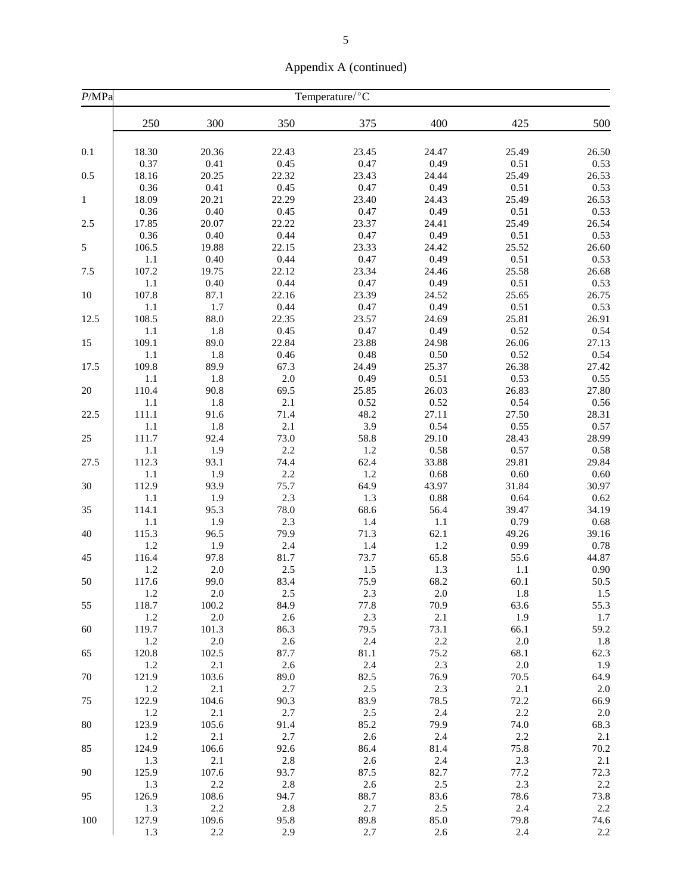|                            | . .   |       |       |  |  |  |  |  |  |  |
|----------------------------|-------|-------|-------|--|--|--|--|--|--|--|
| Temperature/ ${}^{\circ}C$ |       |       |       |  |  |  |  |  |  |  |
| 00                         | 350   | 375   | 400   |  |  |  |  |  |  |  |
|                            |       |       |       |  |  |  |  |  |  |  |
| .36                        | 22.43 | 23.45 | 24.47 |  |  |  |  |  |  |  |
| .41                        | 0.45  | 0.47  | 0.49  |  |  |  |  |  |  |  |
| .25                        | 22.32 | 23.43 | 24.44 |  |  |  |  |  |  |  |
| .41                        | 0.45  | 0.47  | 0.49  |  |  |  |  |  |  |  |
| .21                        | 22.29 | 23.40 | 24.43 |  |  |  |  |  |  |  |
|                            |       |       |       |  |  |  |  |  |  |  |

Appendix A (continued)

| P/MPa        |                  |              |               | Temperature/°C |               |               |               |
|--------------|------------------|--------------|---------------|----------------|---------------|---------------|---------------|
|              | 250              | 300          | 350           | 375            | 400           | 425           | 500           |
| 0.1          | 18.30            | 20.36        | 22.43         | 23.45          | 24.47         | 25.49         | 26.50         |
|              | 0.37             | 0.41         | 0.45          | 0.47           | 0.49          | 0.51          | 0.53          |
| 0.5          | 18.16            | 20.25        | 22.32         | 23.43          | 24.44         | 25.49         | 26.53         |
|              | 0.36             | 0.41         | 0.45          | 0.47           | 0.49          | 0.51          | 0.53          |
| $\mathbf{1}$ | 18.09            | 20.21        | 22.29         | 23.40          | 24.43         | 25.49         | 26.53         |
|              | 0.36             | 0.40         | 0.45          | 0.47           | 0.49          | 0.51          | 0.53          |
| 2.5          | 17.85            | 20.07        | 22.22         | 23.37          | 24.41         | 25.49         | 26.54         |
|              | 0.36             | 0.40         | 0.44          | 0.47           | 0.49          | 0.51          | 0.53          |
| 5            | 106.5            | 19.88        | 22.15         | 23.33          | 24.42         | 25.52         | 26.60         |
|              | $1.1\,$          | 0.40         | 0.44          | 0.47           | 0.49          | 0.51          | 0.53          |
| 7.5          | 107.2            | 19.75        | 22.12         | 23.34          | 24.46         | 25.58         | 26.68         |
|              | $1.1\,$          | $0.40\,$     | 0.44          | 0.47           | 0.49          | 0.51          | 0.53          |
| $10\,$       | 107.8            | 87.1         | 22.16         | 23.39          | 24.52         | 25.65         | 26.75         |
|              | 1.1              | 1.7          | 0.44          | 0.47           | 0.49          | 0.51          | 0.53          |
| 12.5         | 108.5            | 88.0         | 22.35         | 23.57          | 24.69         | 25.81         | 26.91         |
|              | $1.1\,$          | 1.8          | 0.45          | 0.47           | 0.49          | 0.52          | 0.54          |
| 15           | 109.1<br>$1.1\,$ | 89.0<br>1.8  | 22.84<br>0.46 | 23.88<br>0.48  | 24.98<br>0.50 | 26.06<br>0.52 | 27.13<br>0.54 |
| 17.5         | 109.8            | 89.9         | 67.3          | 24.49          | 25.37         | 26.38         | 27.42         |
|              | $1.1\,$          | 1.8          | 2.0           | 0.49           | $0.51\,$      | 0.53          | 0.55          |
| 20           | 110.4            | 90.8         | 69.5          | 25.85          | 26.03         | 26.83         | 27.80         |
|              | 1.1              | 1.8          | $2.1\,$       | 0.52           | 0.52          | 0.54          | 0.56          |
| 22.5         | 111.1            | 91.6         | 71.4          | 48.2           | 27.11         | 27.50         | 28.31         |
|              | 1.1              | 1.8          | 2.1           | 3.9            | 0.54          | 0.55          | 0.57          |
| 25           | 111.7            | 92.4         | 73.0          | 58.8           | 29.10         | 28.43         | 28.99         |
|              | 1.1              | 1.9          | $2.2\,$       | 1.2            | 0.58          | 0.57          | 0.58          |
| 27.5         | 112.3            | 93.1         | 74.4          | 62.4           | 33.88         | 29.81         | 29.84         |
|              | 1.1              | 1.9          | 2.2           | 1.2            | 0.68          | 0.60          | $0.60\,$      |
| 30           | 112.9            | 93.9         | 75.7          | 64.9           | 43.97         | 31.84         | 30.97         |
|              | 1.1              | 1.9          | $2.3\,$       | 1.3            | $0.88\,$      | 0.64          | 0.62          |
| 35           | 114.1            | 95.3         | 78.0          | 68.6           | 56.4          | 39.47         | 34.19         |
|              | 1.1              | 1.9          | 2.3           | 1.4            | $1.1\,$       | 0.79          | 0.68          |
| 40           | 115.3            | 96.5         | 79.9          | 71.3           | 62.1          | 49.26         | 39.16         |
|              | 1.2              | 1.9          | 2.4           | 1.4            | 1.2           | 0.99          | 0.78          |
| 45           | 116.4            | 97.8         | 81.7          | 73.7           | 65.8          | 55.6          | 44.87         |
|              | 1.2              | $2.0\,$      | $2.5\,$       | 1.5            | 1.3           | 1.1           | 0.90          |
| 50           | 117.6            | 99.0         | 83.4          | 75.9           | 68.2          | 60.1          | 50.5          |
|              | 1.2              | $2.0\,$      | $2.5\,$       | 2.3            | $2.0\,$       | $1.8\,$       | 1.5           |
| 55           | 118.7            | 100.2        | 84.9          | 77.8           | 70.9          | 63.6          | 55.3          |
|              | 1.2<br>119.7     | 2.0          | 2.6<br>86.3   | 2.3<br>79.5    | 2.1<br>73.1   | 1.9<br>66.1   | 1.7           |
| 60           | 1.2              | 101.3<br>2.0 | 2.6           | 2.4            | 2.2           | 2.0           | 59.2          |
| 65           | 120.8            | 102.5        | 87.7          | 81.1           | 75.2          | 68.1          | 1.8<br>62.3   |
|              | 1.2              | $2.1\,$      | $2.6\,$       | 2.4            | 2.3           | 2.0           | 1.9           |
| 70           | 121.9            | 103.6        | 89.0          | 82.5           | 76.9          | 70.5          | 64.9          |
|              | 1.2              | 2.1          | 2.7           | 2.5            | 2.3           | 2.1           | $2.0\,$       |
| 75           | 122.9            | 104.6        | 90.3          | 83.9           | 78.5          | 72.2          | 66.9          |
|              | $1.2\,$          | $2.1\,$      | 2.7           | 2.5            | 2.4           | 2.2           | $2.0\,$       |
| 80           | 123.9            | 105.6        | 91.4          | 85.2           | 79.9          | 74.0          | 68.3          |
|              | 1.2              | 2.1          | 2.7           | 2.6            | 2.4           | 2.2           | 2.1           |
| 85           | 124.9            | 106.6        | 92.6          | 86.4           | 81.4          | 75.8          | 70.2          |
|              | 1.3              | 2.1          | 2.8           | 2.6            | 2.4           | 2.3           | 2.1           |
| 90           | 125.9            | 107.6        | 93.7          | 87.5           | 82.7          | 77.2          | 72.3          |
|              | 1.3              | 2.2          | 2.8           | 2.6            | 2.5           | 2.3           | 2.2           |
| 95           | 126.9            | 108.6        | 94.7          | 88.7           | 83.6          | 78.6          | 73.8          |
|              | 1.3              | 2.2          | 2.8           | 2.7            | 2.5           | 2.4           | $2.2\,$       |
| 100          | 127.9            | 109.6        | 95.8          | 89.8           | 85.0          | 79.8          | 74.6          |
|              | 1.3              | 2.2          | 2.9           | 2.7            | 2.6           | 2.4           | $2.2\,$       |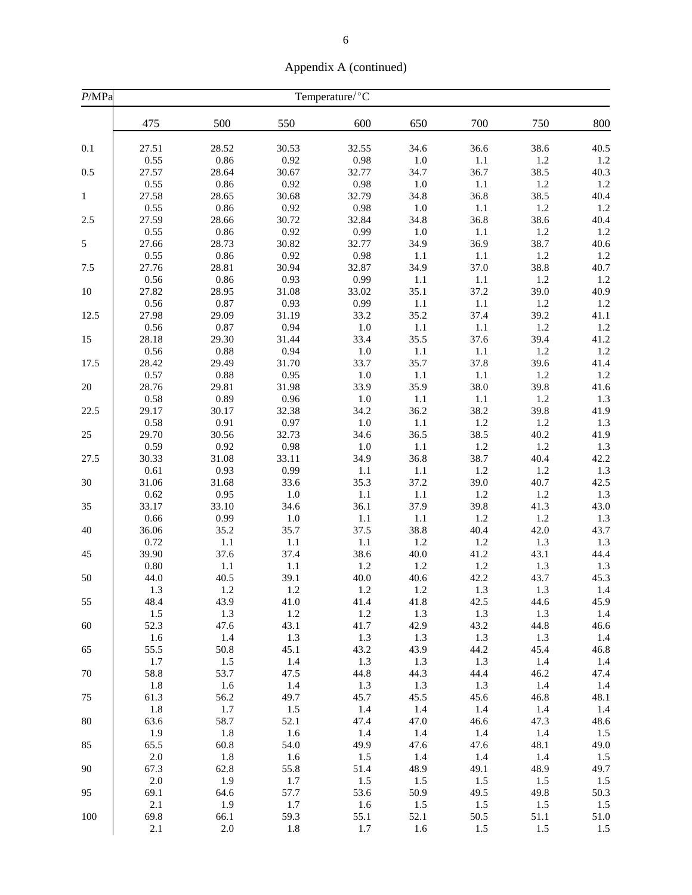| Appendix A (continued) |  |  |
|------------------------|--|--|
|------------------------|--|--|

| P/MPa        |                       |                       |                       | Temperature/°C        |                        |                     |                     |                     |
|--------------|-----------------------|-----------------------|-----------------------|-----------------------|------------------------|---------------------|---------------------|---------------------|
|              | 475                   | 500                   | 550                   | 600                   | 650                    | 700                 | 750                 | 800                 |
| 0.1          | 27.51                 | 28.52                 | 30.53                 | 32.55                 | 34.6                   | 36.6                | 38.6                | 40.5                |
| 0.5          | 0.55<br>27.57<br>0.55 | 0.86<br>28.64<br>0.86 | 0.92<br>30.67<br>0.92 | 0.98<br>32.77<br>0.98 | $1.0\,$<br>34.7        | 1.1<br>36.7         | $1.2\,$<br>38.5     | 1.2<br>40.3<br>1.2  |
| $\mathbf{1}$ | 27.58<br>0.55         | 28.65<br>0.86         | 30.68<br>0.92         | 32.79<br>0.98         | 1.0<br>34.8<br>$1.0\,$ | 1.1<br>36.8<br>1.1  | 1.2<br>38.5<br>1.2  | 40.4<br>1.2         |
| 2.5          | 27.59                 | 28.66                 | 30.72                 | 32.84                 | 34.8                   | 36.8                | 38.6                | 40.4                |
|              | 0.55                  | 0.86                  | 0.92                  | 0.99                  | $1.0\,$                | 1.1                 | 1.2                 | 1.2                 |
| 5            | 27.66                 | 28.73                 | 30.82                 | 32.77                 | 34.9                   | 36.9                | 38.7                | 40.6                |
|              | 0.55                  | 0.86                  | 0.92                  | 0.98                  | 1.1                    | $1.1\,$             | $1.2\,$             | 1.2                 |
| 7.5          | 27.76                 | 28.81                 | 30.94                 | 32.87                 | 34.9                   | 37.0                | 38.8                | 40.7                |
|              | 0.56                  | 0.86                  | 0.93                  | 0.99                  | 1.1                    | 1.1                 | $1.2\,$             | 1.2                 |
| 10           | 27.82                 | 28.95                 | 31.08                 | 33.02                 | 35.1                   | 37.2                | 39.0                | 40.9                |
|              | 0.56                  | 0.87                  | 0.93                  | 0.99                  | 1.1                    | 1.1                 | 1.2                 | 1.2                 |
| 12.5         | 27.98                 | 29.09                 | 31.19                 | 33.2                  | 35.2                   | 37.4                | 39.2                | 41.1                |
|              | 0.56                  | 0.87                  | 0.94                  | 1.0                   | 1.1                    | 1.1                 | 1.2                 | 1.2                 |
| 15           | 28.18                 | 29.30                 | 31.44                 | 33.4                  | 35.5                   | 37.6                | 39.4                | 41.2                |
|              | 0.56                  | 0.88                  | 0.94                  | $1.0\,$               | $1.1\,$                | $1.1\,$             | 1.2                 | 1.2                 |
| 17.5         | 28.42                 | 29.49                 | 31.70                 | 33.7                  | 35.7                   | 37.8                | 39.6                | 41.4                |
|              | 0.57                  | 0.88                  | 0.95                  | $1.0\,$               | 1.1                    | 1.1                 | 1.2                 | 1.2                 |
| 20           | 28.76                 | 29.81                 | 31.98                 | 33.9                  | 35.9                   | 38.0                | 39.8                | 41.6                |
|              | 0.58                  | 0.89                  | $0.96\,$              | $1.0\,$               | 1.1                    | $1.1\,$             | 1.2                 | 1.3                 |
| 22.5         | 29.17                 | 30.17                 | 32.38                 | 34.2                  | 36.2                   | 38.2                | 39.8                | 41.9                |
|              | 0.58                  | 0.91                  | 0.97                  | $1.0\,$               | $1.1\,$                | 1.2                 | 1.2                 | 1.3                 |
| 25           | 29.70                 | 30.56                 | 32.73                 | 34.6                  | 36.5                   | 38.5                | 40.2                | 41.9                |
|              | 0.59                  | 0.92                  | 0.98                  | $1.0\,$               | 1.1                    | 1.2                 | $1.2\,$             | 1.3                 |
| 27.5         | 30.33                 | 31.08                 | 33.11                 | 34.9                  | 36.8                   | 38.7                | 40.4                | 42.2                |
|              | 0.61                  | 0.93                  | 0.99                  | $1.1\,$               | 1.1                    | 1.2                 | 1.2                 | 1.3                 |
| 30           | 31.06                 | 31.68                 | 33.6                  | 35.3                  | 37.2                   | 39.0                | 40.7                | 42.5                |
|              | 0.62                  | 0.95                  | $1.0\,$               | $1.1\,$               | 1.1                    | $1.2$               | 1.2                 | 1.3                 |
| 35           | 33.17                 | 33.10                 | 34.6                  | 36.1                  | 37.9                   | 39.8                | 41.3                | 43.0                |
|              | 0.66                  | 0.99                  | $1.0\,$               | $1.1\,$               | 1.1                    | 1.2                 | 1.2                 | 1.3                 |
| 40           | 36.06                 | 35.2                  | 35.7                  | 37.5                  | 38.8                   | 40.4                | 42.0                | 43.7                |
|              | 0.72                  | 1.1                   | 1.1                   | $1.1\,$               | 1.2                    | 1.2                 | 1.3                 | 1.3                 |
| 45           | 39.90                 | 37.6                  | 37.4                  | 38.6                  | 40.0                   | 41.2                | 43.1                | 44.4                |
|              | $0.80\,$              | $1.1\,$               | 1.1                   | 1.2                   | 1.2                    | $1.2\,$             | 1.3                 | 1.3                 |
| 50           | 44.0                  | 40.5                  | 39.1                  | 40.0                  | 40.6                   | 42.2                | 43.7                | 45.3                |
|              | 1.3                   | 1.2                   | 1.2                   | 1.2                   | 1.2                    | 1.3                 | 1.3                 | 1.4                 |
| 55           | 48.4                  | 43.9                  | 41.0                  | 41.4                  | 41.8                   | 42.5                | 44.6                | 45.9                |
|              | 1.5                   | 1.3                   | $1.2\,$               | 1.2                   | 1.3                    | 1.3                 | 1.3                 | 1.4                 |
| 60           | 52.3                  | 47.6                  | 43.1                  | 41.7                  | 42.9                   | 43.2                | 44.8                | 46.6                |
|              | 1.6                   | 1.4                   | 1.3                   | 1.3                   | 1.3                    | 1.3                 | 1.3                 | 1.4                 |
| 65           | 55.5                  | 50.8                  | 45.1                  | 43.2                  | 43.9                   | 44.2                | 45.4                | 46.8                |
|              | 1.7                   | 1.5                   | 1.4                   | 1.3                   | 1.3                    | 1.3                 | 1.4                 | 1.4                 |
| 70<br>75     | 58.8<br>1.8<br>61.3   | 53.7<br>1.6<br>56.2   | 47.5<br>1.4<br>49.7   | 44.8<br>1.3<br>45.7   | 44.3<br>1.3<br>45.5    | 44.4<br>1.3<br>45.6 | 46.2<br>1.4<br>46.8 | 47.4<br>1.4<br>48.1 |
| 80           | 1.8                   | 1.7                   | 1.5                   | 1.4                   | 1.4                    | 1.4                 | 1.4                 | 1.4                 |
|              | 63.6                  | 58.7                  | 52.1                  | 47.4                  | 47.0                   | 46.6                | 47.3                | 48.6                |
| 85           | 1.9                   | 1.8                   | 1.6                   | 1.4                   | 1.4                    | 1.4                 | 1.4                 | 1.5                 |
|              | 65.5                  | 60.8                  | 54.0                  | 49.9                  | 47.6                   | 47.6                | 48.1                | 49.0                |
| 90           | $2.0\,$               | 1.8                   | 1.6                   | 1.5                   | 1.4                    | 1.4                 | 1.4                 | 1.5                 |
|              | 67.3                  | 62.8                  | 55.8                  | 51.4                  | 48.9                   | 49.1                | 48.9                | 49.7                |
| 95           | $2.0\,$               | 1.9                   | 1.7                   | 1.5                   | 1.5                    | 1.5                 | 1.5                 | 1.5                 |
|              | 69.1                  | 64.6                  | 57.7                  | 53.6                  | 50.9                   | 49.5                | 49.8                | 50.3                |
| 100          | 2.1                   | 1.9                   | 1.7                   | 1.6                   | 1.5                    | 1.5                 | 1.5                 | 1.5                 |
|              | 69.8                  | 66.1                  | 59.3                  | 55.1                  | 52.1                   | 50.5                | 51.1                | 51.0                |
|              | 2.1                   | $2.0\,$               | 1.8                   | 1.7                   | 1.6                    | 1.5                 | 1.5                 | 1.5                 |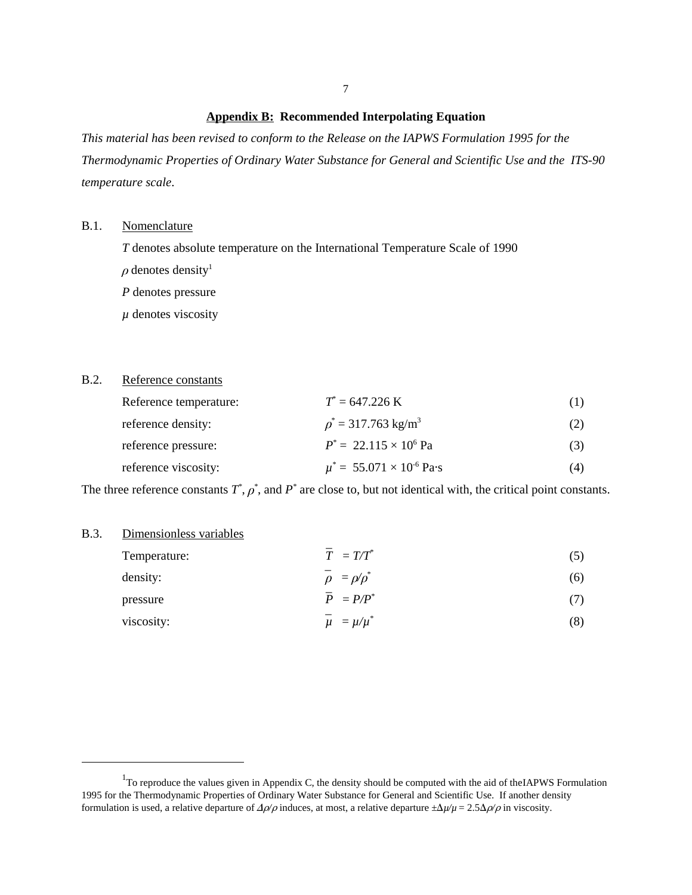#### **Appendix B: Recommended Interpolating Equation**

*This material has been revised to conform to the Release on the IAPWS Formulation 1995 for the Thermodynamic Properties of Ordinary Water Substance for General and Scientific Use and the ITS-90 temperature scale*.

#### B.1. Nomenclature

*T* denotes absolute temperature on the International Temperature Scale of 1990

- $\rho$  denotes density<sup>1</sup>
- *P* denotes pressure

 $\mu$  denotes viscosity

#### B.2. Reference constants

| Reference temperature: | $T^* = 647.226 \text{ K}$            | (1) |
|------------------------|--------------------------------------|-----|
| reference density:     | $p^* = 317.763$ kg/m <sup>3</sup>    | (2) |
| reference pressure:    | $P^* = 22.115 \times 10^6$ Pa        | (3) |
| reference viscosity:   | $\mu^* = 55.071 \times 10^{-6}$ Pa·s | (4) |

The three reference constants  $T^*$ ,  $\rho^*$ , and  $P^*$  are close to, but not identical with, the critical point constants.

#### B.3. Dimensionless variables

| Temperature: | $\overline{T} = T/T^*$ | (5) |
|--------------|------------------------|-----|
| density:     | $\rho = \rho/\rho^*$   | (6) |
| pressure     | $\overline{P} = P/P^*$ | (7) |
| viscosity:   | $\mu = \mu/\mu^*$      | (8) |

 $1$ To reproduce the values given in Appendix C, the density should be computed with the aid of the IAPWS Formulation 1995 for the Thermodynamic Properties of Ordinary Water Substance for General and Scientific Use. If another density formulation is used, a relative departure of  $\Delta \rho / \rho$  induces, at most, a relative departure  $\pm \Delta \mu / \mu = 2.5 \Delta \rho / \rho$  in viscosity.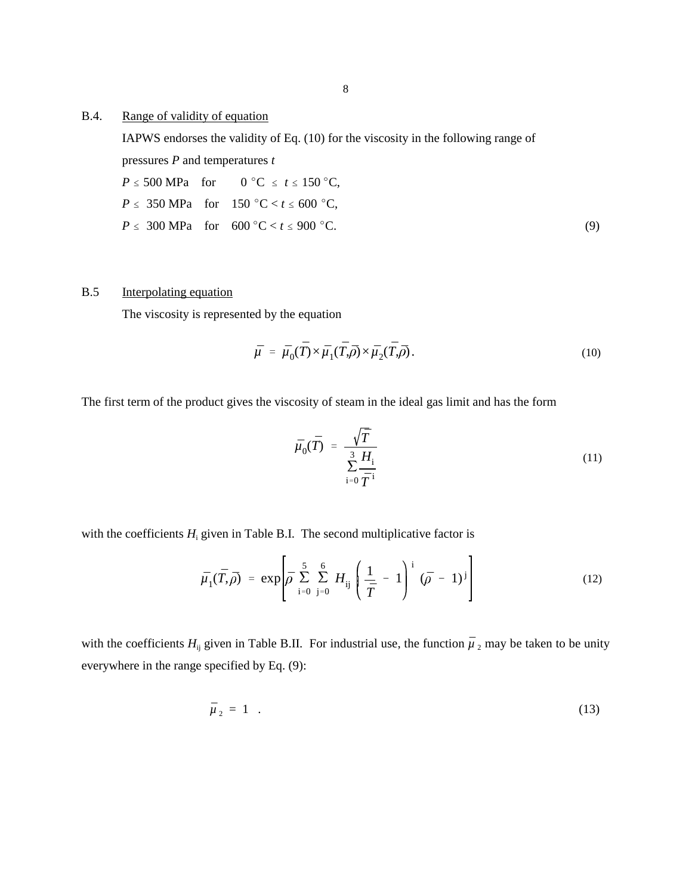### B.4. Range of validity of equation

IAPWS endorses the validity of Eq. (10) for the viscosity in the following range of pressures *P* and temperatures *t*

$$
P \le 500 \text{ MPa} \quad \text{for} \quad 0^{\circ}\text{C} \le t \le 150^{\circ}\text{C},
$$
\n
$$
P \le 350 \text{ MPa} \quad \text{for} \quad 150^{\circ}\text{C} < t \le 600^{\circ}\text{C},
$$
\n
$$
P \le 300 \text{ MPa} \quad \text{for} \quad 600^{\circ}\text{C} < t \le 900^{\circ}\text{C}.
$$
\n
$$
(9)
$$

### B.5 Interpolating equation

The viscosity is represented by the equation

$$
\bar{\mu} = \bar{\mu}_0(\bar{T}) \times \bar{\mu}_1(\bar{T}, \bar{\rho}) \times \bar{\mu}_2(\bar{T}, \bar{\rho}). \tag{10}
$$

The first term of the product gives the viscosity of steam in the ideal gas limit and has the form

$$
\bar{\mu}_0(\bar{T}) = \frac{\sqrt{\bar{T}}}{\sum_{i=0}^3 \frac{H_i}{\bar{T}^i}}
$$
\n(11)

with the coefficients  $H_i$  given in Table B.I. The second multiplicative factor is

$$
\bar{\mu}_1(\bar{T}, \bar{\rho}) = \exp \left[ \bar{\rho} \sum_{i=0}^{5} \sum_{j=0}^{6} H_{ij} \left( \frac{1}{\bar{T}} - 1 \right)^i (\bar{\rho} - 1)^j \right]
$$
(12)

with the coefficients  $H_{ij}$  given in Table B.II. For industrial use, the function  $\mu$ *\_* <sub>2</sub> may be taken to be unity everywhere in the range specified by Eq. (9):

$$
\overline{\mu}_2 = 1 \quad . \tag{13}
$$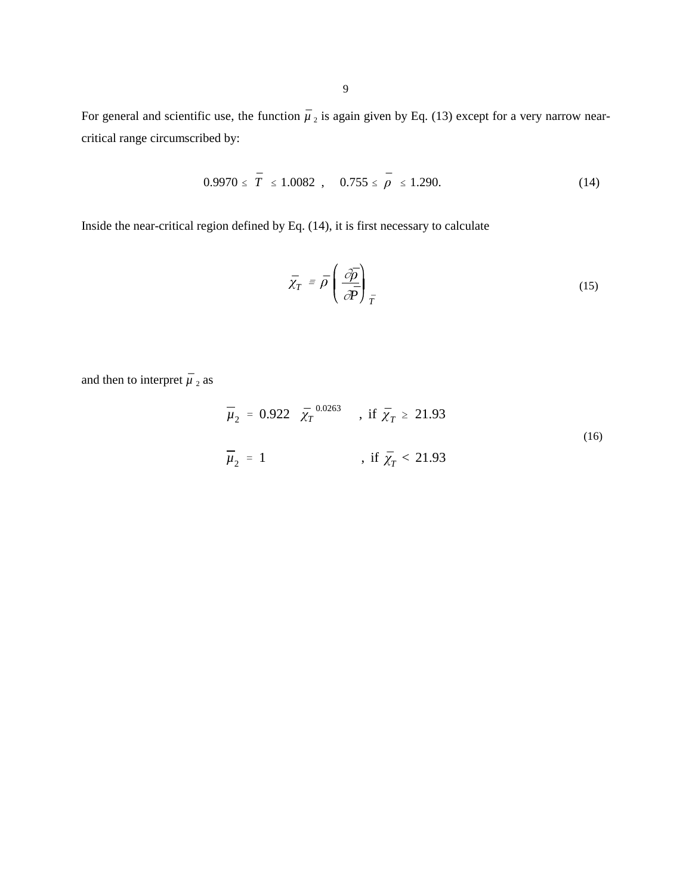For general and scientific use, the function  $\overline{\mu}$ *\_*  $_2$  is again given by Eq. (13) except for a very narrow nearcritical range circumscribed by:

$$
0.9970 \leq \overline{T} \leq 1.0082 \quad , \quad 0.755 \leq \overline{\rho} \leq 1.290. \tag{14}
$$

Inside the near-critical region defined by Eq. (14), it is first necessary to calculate

$$
\bar{\chi}_T = \bar{\rho} \left( \frac{\partial \bar{p}}{\partial \bar{p}} \right)_T \tag{15}
$$

and then to interpret *µ*  $\overline{a}$  $2$  as

$$
\overline{\mu}_{2} = 0.922 \quad \overline{\chi}_{T}^{0.0263} \qquad \text{, if } \overline{\chi}_{T} \ge 21.93
$$
\n
$$
\overline{\mu}_{2} = 1 \qquad \text{, if } \overline{\chi}_{T} < 21.93 \tag{16}
$$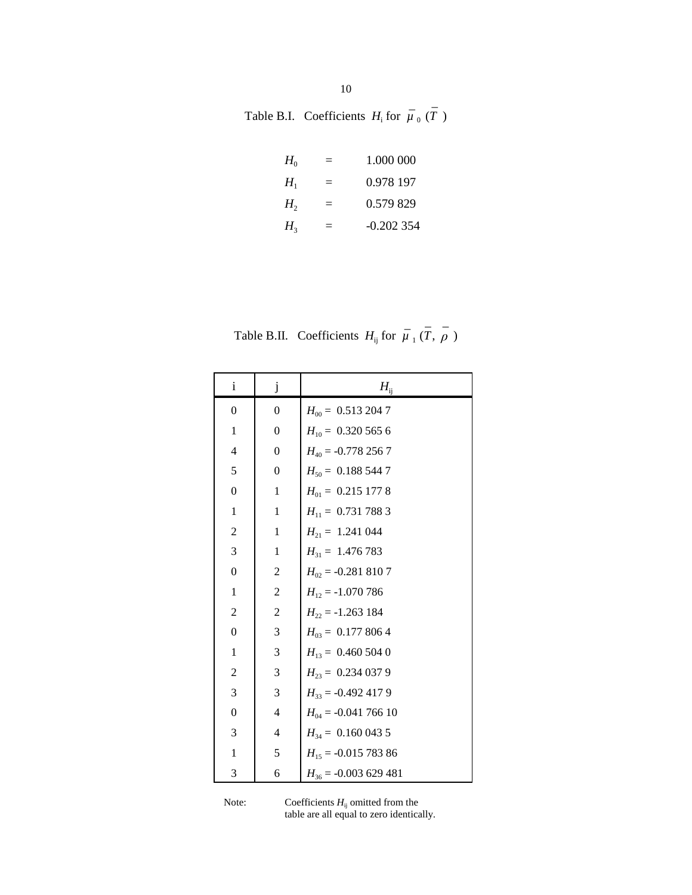| Table B.I. Coefficients $H_i$ for $\mu_0(T)$ |  |  |
|----------------------------------------------|--|--|

| $H_0$          |     | 1.000.000   |
|----------------|-----|-------------|
| $H_{1}$        | $=$ | 0.978 197   |
| H <sub>2</sub> | $=$ | 0.579.829   |
| H <sub>2</sub> |     | $-0.202354$ |

Table B.II. Coefficients  $H_{ij}$  for  $\mu$ *\_* <sup>1</sup> (*T* , )

 $\overline{a}$ 

\_

| i                | j                | $H_{ij}$                |
|------------------|------------------|-------------------------|
| $\overline{0}$   | 0                | $H_{00} = 0.5132047$    |
| $\mathbf{1}$     | $\boldsymbol{0}$ | $H_{10} = 0.3205656$    |
| 4                | $\boldsymbol{0}$ | $H_{40}$ = -0.778 256 7 |
| 5                | $\boldsymbol{0}$ | $H_{50} = 0.1885447$    |
| $\boldsymbol{0}$ | $\mathbf{1}$     | $H_{01} = 0.2151778$    |
| 1                | 1                | $H_{11} = 0.7317883$    |
| $\overline{c}$   | 1                | $H_{21} = 1.241044$     |
| $\mathfrak{Z}$   | $\mathbf{1}$     | $H_{31} = 1.476783$     |
| $\boldsymbol{0}$ | $\overline{c}$   | $H_{02}$ = -0.281 810 7 |
| 1                | $\overline{c}$   | $H_{12} = -1.070786$    |
| $\overline{c}$   | $\overline{c}$   | $H_{22} = -1.263184$    |
| $\boldsymbol{0}$ | 3                | $H_{03} = 0.1778064$    |
| $\mathbf{1}$     | 3                | $H_{13} = 0.4605040$    |
| $\overline{c}$   | 3                | $H_{23} = 0.2340379$    |
| 3                | 3                | $H_{33} = -0.4924179$   |
| $\boldsymbol{0}$ | $\overline{4}$   | $H_{04} = -0.04176610$  |
| 3                | 4                | $H_{34} = 0.1600435$    |
| 1                | 5                | $H_{15} = -0.01578386$  |
| 3                | 6                | $H_{36} = -0.003629481$ |

Note: Coefficients  $H_{ij}$  omitted from the table are all equal to zero identically.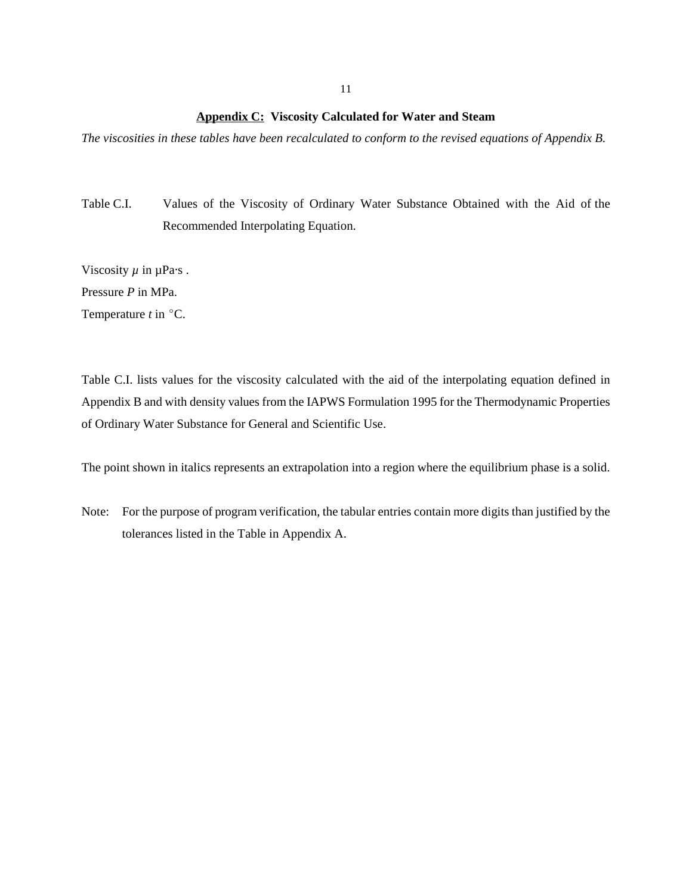**Appendix C: Viscosity Calculated for Water and Steam**

*The viscosities in these tables have been recalculated to conform to the revised equations of Appendix B.*

Table C.I. Values of the Viscosity of Ordinary Water Substance Obtained with the Aid of the Recommended Interpolating Equation.

Viscosity  $\mu$  in  $\mu$ Pa·s.

Pressure *P* in MPa.

Temperature  $t$  in  $^{\circ}$ C.

Table C.I. lists values for the viscosity calculated with the aid of the interpolating equation defined in Appendix B and with density values from the IAPWS Formulation 1995 for the Thermodynamic Properties of Ordinary Water Substance for General and Scientific Use.

The point shown in italics represents an extrapolation into a region where the equilibrium phase is a solid.

Note: For the purpose of program verification, the tabular entries contain more digits than justified by the tolerances listed in the Table in Appendix A.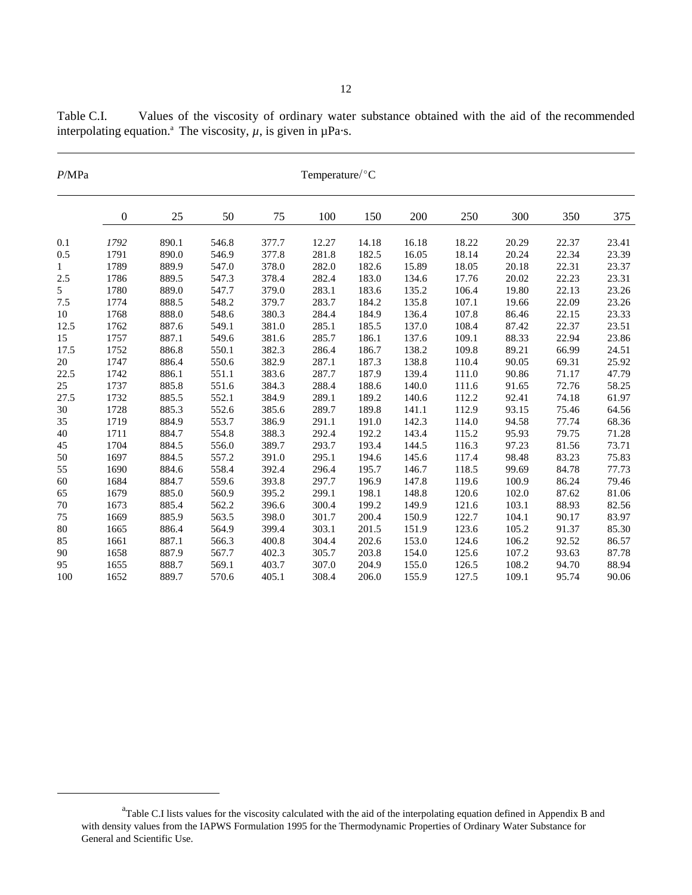| P/MPa | Temperature/°C   |       |       |       |       |       |       |       |       |       |       |  |
|-------|------------------|-------|-------|-------|-------|-------|-------|-------|-------|-------|-------|--|
|       | $\boldsymbol{0}$ | 25    | 50    | 75    | 100   | 150   | 200   | 250   | 300   | 350   | 375   |  |
|       |                  |       |       |       |       |       |       |       |       |       |       |  |
| 0.1   | 1792             | 890.1 | 546.8 | 377.7 | 12.27 | 14.18 | 16.18 | 18.22 | 20.29 | 22.37 | 23.41 |  |
| 0.5   | 1791             | 890.0 | 546.9 | 377.8 | 281.8 | 182.5 | 16.05 | 18.14 | 20.24 | 22.34 | 23.39 |  |
| 1     | 1789             | 889.9 | 547.0 | 378.0 | 282.0 | 182.6 | 15.89 | 18.05 | 20.18 | 22.31 | 23.37 |  |
| 2.5   | 1786             | 889.5 | 547.3 | 378.4 | 282.4 | 183.0 | 134.6 | 17.76 | 20.02 | 22.23 | 23.31 |  |
| 5     | 1780             | 889.0 | 547.7 | 379.0 | 283.1 | 183.6 | 135.2 | 106.4 | 19.80 | 22.13 | 23.26 |  |
| 7.5   | 1774             | 888.5 | 548.2 | 379.7 | 283.7 | 184.2 | 135.8 | 107.1 | 19.66 | 22.09 | 23.26 |  |
| 10    | 1768             | 888.0 | 548.6 | 380.3 | 284.4 | 184.9 | 136.4 | 107.8 | 86.46 | 22.15 | 23.33 |  |
| 12.5  | 1762             | 887.6 | 549.1 | 381.0 | 285.1 | 185.5 | 137.0 | 108.4 | 87.42 | 22.37 | 23.51 |  |
| 15    | 1757             | 887.1 | 549.6 | 381.6 | 285.7 | 186.1 | 137.6 | 109.1 | 88.33 | 22.94 | 23.86 |  |
| 17.5  | 1752             | 886.8 | 550.1 | 382.3 | 286.4 | 186.7 | 138.2 | 109.8 | 89.21 | 66.99 | 24.51 |  |
| 20    | 1747             | 886.4 | 550.6 | 382.9 | 287.1 | 187.3 | 138.8 | 110.4 | 90.05 | 69.31 | 25.92 |  |
| 22.5  | 1742             | 886.1 | 551.1 | 383.6 | 287.7 | 187.9 | 139.4 | 111.0 | 90.86 | 71.17 | 47.79 |  |
| 25    | 1737             | 885.8 | 551.6 | 384.3 | 288.4 | 188.6 | 140.0 | 111.6 | 91.65 | 72.76 | 58.25 |  |
| 27.5  | 1732             | 885.5 | 552.1 | 384.9 | 289.1 | 189.2 | 140.6 | 112.2 | 92.41 | 74.18 | 61.97 |  |
| 30    | 1728             | 885.3 | 552.6 | 385.6 | 289.7 | 189.8 | 141.1 | 112.9 | 93.15 | 75.46 | 64.56 |  |
| 35    | 1719             | 884.9 | 553.7 | 386.9 | 291.1 | 191.0 | 142.3 | 114.0 | 94.58 | 77.74 | 68.36 |  |
| 40    | 1711             | 884.7 | 554.8 | 388.3 | 292.4 | 192.2 | 143.4 | 115.2 | 95.93 | 79.75 | 71.28 |  |
| 45    | 1704             | 884.5 | 556.0 | 389.7 | 293.7 | 193.4 | 144.5 | 116.3 | 97.23 | 81.56 | 73.71 |  |
| 50    | 1697             | 884.5 | 557.2 | 391.0 | 295.1 | 194.6 | 145.6 | 117.4 | 98.48 | 83.23 | 75.83 |  |
| 55    | 1690             | 884.6 | 558.4 | 392.4 | 296.4 | 195.7 | 146.7 | 118.5 | 99.69 | 84.78 | 77.73 |  |
| 60    | 1684             | 884.7 | 559.6 | 393.8 | 297.7 | 196.9 | 147.8 | 119.6 | 100.9 | 86.24 | 79.46 |  |
| 65    | 1679             | 885.0 | 560.9 | 395.2 | 299.1 | 198.1 | 148.8 | 120.6 | 102.0 | 87.62 | 81.06 |  |
| 70    | 1673             | 885.4 | 562.2 | 396.6 | 300.4 | 199.2 | 149.9 | 121.6 | 103.1 | 88.93 | 82.56 |  |

75 1669 885.9 563.5 398.0 301.7 200.4 150.9 122.7 104.1 90.17 83.97 80 1665 886.4 564.9 399.4 303.1 201.5 151.9 123.6 105.2 91.37 85.30 85 1661 887.1 566.3 400.8 304.4 202.6 153.0 124.6 106.2 92.52 86.57 90 1658 887.9 567.7 402.3 305.7 203.8 154.0 125.6 107.2 93.63 87.78 95 1655 888.7 569.1 403.7 307.0 204.9 155.0 126.5 108.2 94.70 88.94 100 1652 889.7 570.6 405.1 308.4 206.0 155.9 127.5 109.1 95.74 90.06

Table C.I. Values of the viscosity of ordinary water substance obtained with the aid of the recommended interpolating equation.<sup>a</sup> The viscosity,  $\mu$ , is given in  $\mu$ Pa·s.

<sup>&</sup>lt;sup>a</sup>Table C.I lists values for the viscosity calculated with the aid of the interpolating equation defined in Appendix B and with density values from the IAPWS Formulation 1995 for the Thermodynamic Properties of Ordinary Water Substance for General and Scientific Use.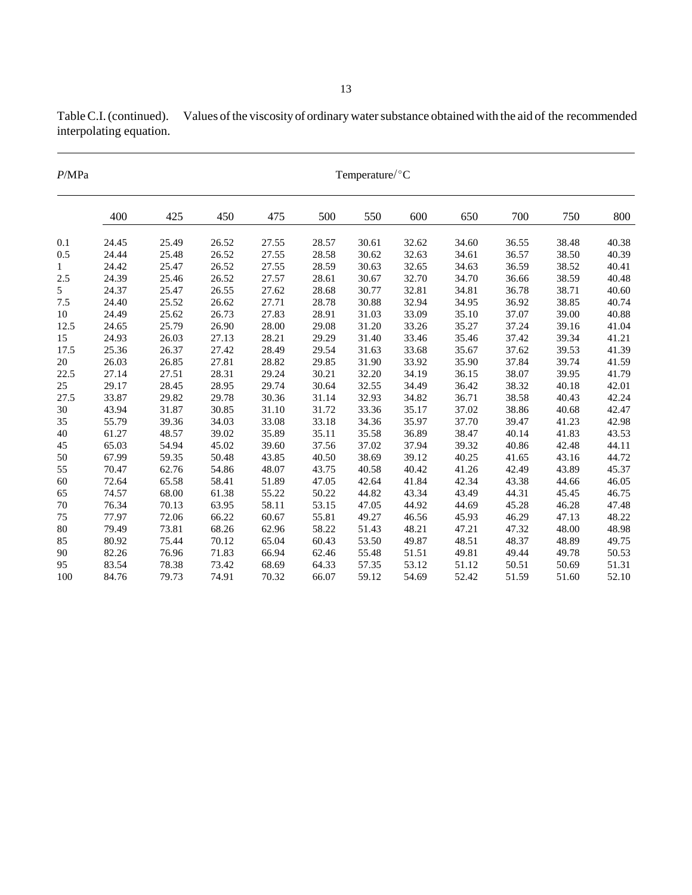| P/MPa |     |     |     |     |     | Temperature/ $\rm ^{\circ}C$ |     |     |
|-------|-----|-----|-----|-----|-----|------------------------------|-----|-----|
|       | 400 | 425 | 450 | 475 | 500 | 550                          | 600 | 650 |
|       |     |     |     |     |     |                              |     |     |

Table C.I. (continued). Values of the viscosity of ordinary water substance obtained with the aid of the recommended interpolating equation.

|                | 400   | 425   | 450   | 475   | 500   | 550   | 600   | 650   | 700   | 750   | 800   |
|----------------|-------|-------|-------|-------|-------|-------|-------|-------|-------|-------|-------|
| 0.1            | 24.45 | 25.49 | 26.52 | 27.55 | 28.57 | 30.61 | 32.62 | 34.60 | 36.55 | 38.48 | 40.38 |
| 0.5            | 24.44 | 25.48 | 26.52 | 27.55 | 28.58 | 30.62 | 32.63 | 34.61 | 36.57 | 38.50 | 40.39 |
| $\mathbf{1}$   | 24.42 | 25.47 | 26.52 | 27.55 | 28.59 | 30.63 | 32.65 | 34.63 | 36.59 | 38.52 | 40.41 |
| 2.5            | 24.39 | 25.46 | 26.52 | 27.57 | 28.61 | 30.67 | 32.70 | 34.70 | 36.66 | 38.59 | 40.48 |
| 5 <sup>1</sup> | 24.37 | 25.47 | 26.55 | 27.62 | 28.68 | 30.77 | 32.81 | 34.81 | 36.78 | 38.71 | 40.60 |
| 7.5            | 24.40 | 25.52 | 26.62 | 27.71 | 28.78 | 30.88 | 32.94 | 34.95 | 36.92 | 38.85 | 40.74 |
| $10\,$         | 24.49 | 25.62 | 26.73 | 27.83 | 28.91 | 31.03 | 33.09 | 35.10 | 37.07 | 39.00 | 40.88 |
| 12.5           | 24.65 | 25.79 | 26.90 | 28.00 | 29.08 | 31.20 | 33.26 | 35.27 | 37.24 | 39.16 | 41.04 |
| 15             | 24.93 | 26.03 | 27.13 | 28.21 | 29.29 | 31.40 | 33.46 | 35.46 | 37.42 | 39.34 | 41.21 |
| 17.5           | 25.36 | 26.37 | 27.42 | 28.49 | 29.54 | 31.63 | 33.68 | 35.67 | 37.62 | 39.53 | 41.39 |
| 20             | 26.03 | 26.85 | 27.81 | 28.82 | 29.85 | 31.90 | 33.92 | 35.90 | 37.84 | 39.74 | 41.59 |
| 22.5           | 27.14 | 27.51 | 28.31 | 29.24 | 30.21 | 32.20 | 34.19 | 36.15 | 38.07 | 39.95 | 41.79 |
| 25             | 29.17 | 28.45 | 28.95 | 29.74 | 30.64 | 32.55 | 34.49 | 36.42 | 38.32 | 40.18 | 42.01 |
| 27.5           | 33.87 | 29.82 | 29.78 | 30.36 | 31.14 | 32.93 | 34.82 | 36.71 | 38.58 | 40.43 | 42.24 |
| 30             | 43.94 | 31.87 | 30.85 | 31.10 | 31.72 | 33.36 | 35.17 | 37.02 | 38.86 | 40.68 | 42.47 |
| 35             | 55.79 | 39.36 | 34.03 | 33.08 | 33.18 | 34.36 | 35.97 | 37.70 | 39.47 | 41.23 | 42.98 |
| 40             | 61.27 | 48.57 | 39.02 | 35.89 | 35.11 | 35.58 | 36.89 | 38.47 | 40.14 | 41.83 | 43.53 |
| 45             | 65.03 | 54.94 | 45.02 | 39.60 | 37.56 | 37.02 | 37.94 | 39.32 | 40.86 | 42.48 | 44.11 |
| 50             | 67.99 | 59.35 | 50.48 | 43.85 | 40.50 | 38.69 | 39.12 | 40.25 | 41.65 | 43.16 | 44.72 |
| 55             | 70.47 | 62.76 | 54.86 | 48.07 | 43.75 | 40.58 | 40.42 | 41.26 | 42.49 | 43.89 | 45.37 |
| 60             | 72.64 | 65.58 | 58.41 | 51.89 | 47.05 | 42.64 | 41.84 | 42.34 | 43.38 | 44.66 | 46.05 |
| 65             | 74.57 | 68.00 | 61.38 | 55.22 | 50.22 | 44.82 | 43.34 | 43.49 | 44.31 | 45.45 | 46.75 |
| 70             | 76.34 | 70.13 | 63.95 | 58.11 | 53.15 | 47.05 | 44.92 | 44.69 | 45.28 | 46.28 | 47.48 |
| 75             | 77.97 | 72.06 | 66.22 | 60.67 | 55.81 | 49.27 | 46.56 | 45.93 | 46.29 | 47.13 | 48.22 |
| 80             | 79.49 | 73.81 | 68.26 | 62.96 | 58.22 | 51.43 | 48.21 | 47.21 | 47.32 | 48.00 | 48.98 |
| 85             | 80.92 | 75.44 | 70.12 | 65.04 | 60.43 | 53.50 | 49.87 | 48.51 | 48.37 | 48.89 | 49.75 |
| 90             | 82.26 | 76.96 | 71.83 | 66.94 | 62.46 | 55.48 | 51.51 | 49.81 | 49.44 | 49.78 | 50.53 |
| 95             | 83.54 | 78.38 | 73.42 | 68.69 | 64.33 | 57.35 | 53.12 | 51.12 | 50.51 | 50.69 | 51.31 |
| 100            | 84.76 | 79.73 | 74.91 | 70.32 | 66.07 | 59.12 | 54.69 | 52.42 | 51.59 | 51.60 | 52.10 |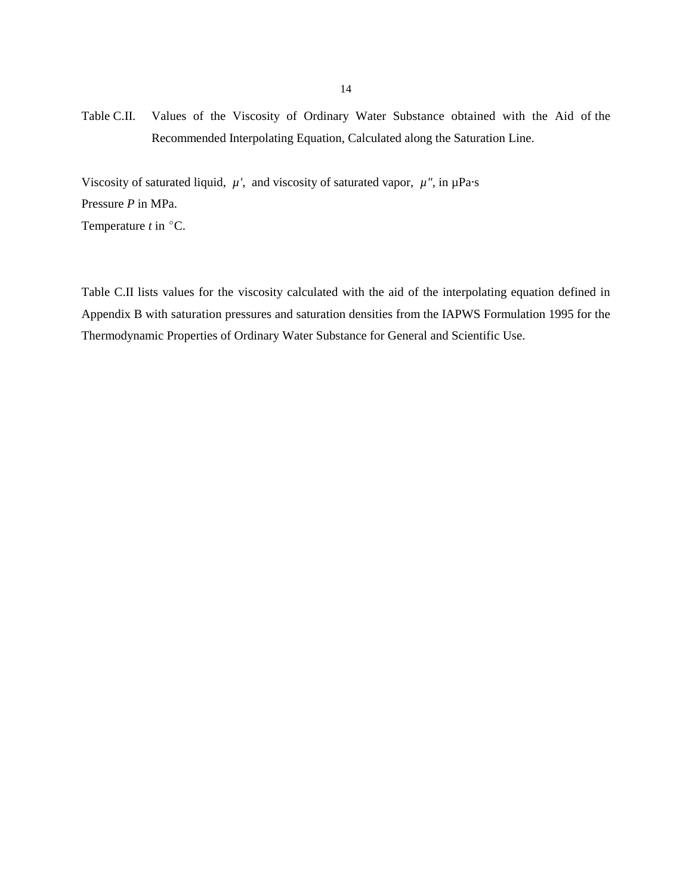Table C.II. Values of the Viscosity of Ordinary Water Substance obtained with the Aid of the Recommended Interpolating Equation, Calculated along the Saturation Line.

Viscosity of saturated liquid,  $\mu'$ , and viscosity of saturated vapor,  $\mu''$ , in  $\mu$ Pa·s Pressure *P* in MPa.

Temperature  $t$  in  $^{\circ}$ C.

Table C.II lists values for the viscosity calculated with the aid of the interpolating equation defined in Appendix B with saturation pressures and saturation densities from the IAPWS Formulation 1995 for the Thermodynamic Properties of Ordinary Water Substance for General and Scientific Use.